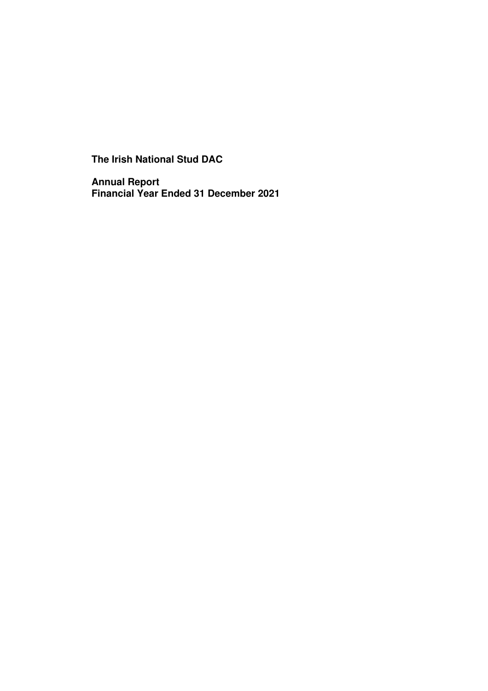**The Irish National Stud DAC** 

**Annual Report Financial Year Ended 31 December 2021**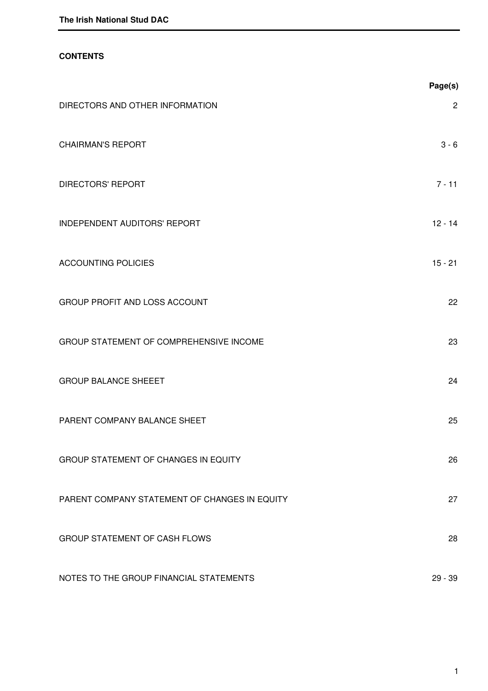# **CONTENTS**

|                                               | Page(s)      |
|-----------------------------------------------|--------------|
| DIRECTORS AND OTHER INFORMATION               | $\mathbf{2}$ |
| <b>CHAIRMAN'S REPORT</b>                      | $3 - 6$      |
| <b>DIRECTORS' REPORT</b>                      | $7 - 11$     |
| <b>INDEPENDENT AUDITORS' REPORT</b>           | $12 - 14$    |
| <b>ACCOUNTING POLICIES</b>                    | $15 - 21$    |
| GROUP PROFIT AND LOSS ACCOUNT                 | 22           |
| GROUP STATEMENT OF COMPREHENSIVE INCOME       | 23           |
| <b>GROUP BALANCE SHEEET</b>                   | 24           |
| PARENT COMPANY BALANCE SHEET                  | 25           |
| GROUP STATEMENT OF CHANGES IN EQUITY          | 26           |
| PARENT COMPANY STATEMENT OF CHANGES IN EQUITY | 27           |
| GROUP STATEMENT OF CASH FLOWS                 | 28           |
| NOTES TO THE GROUP FINANCIAL STATEMENTS       | $29 - 39$    |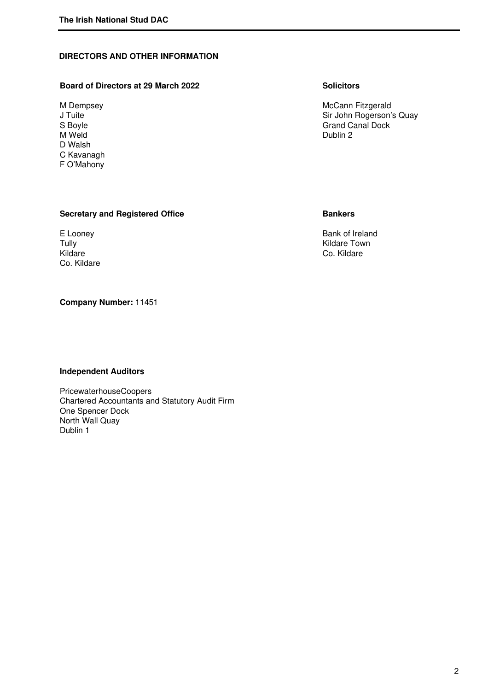# **DIRECTORS AND OTHER INFORMATION**

# **Board of Directors at 29 March 2022** Solicitors **Solicitors**

M Weld **Dublin 2** D Walsh C Kavanagh F O'Mahony

M Dempsey Month Cannon Communication of the McCannon McCannon McCannon McCannon McCannon McCannon McCannon McCannon Music J<br>
McCannon McCannon McCannon Music John Rogerson's J Tuite Sir John Rogerson's Quay<br>S Boyle Samuel Canal Dock Street S Boyle Grand Canal Dock Canal Dock M Weld

# **Secretary and Registered Office <b>Bankers Bankers**

Co. Kildare

# **Company Number:** 11451

### **Independent Auditors**

PricewaterhouseCoopers Chartered Accountants and Statutory Audit Firm One Spencer Dock North Wall Quay Dublin 1

E Looney<br>
Tully Bank of Ireland<br>
Tully Kildare Town Tully Tully Tully Co. Kildare Town Kildare Town Kildare Town Kildare Town Kildare Town Kildare Town Kildare Town Kildare Town Kildare Town Kildare Town Kildare Town Kildare Town Kildare Town Super Town Super Town Super Tow Co. Kildare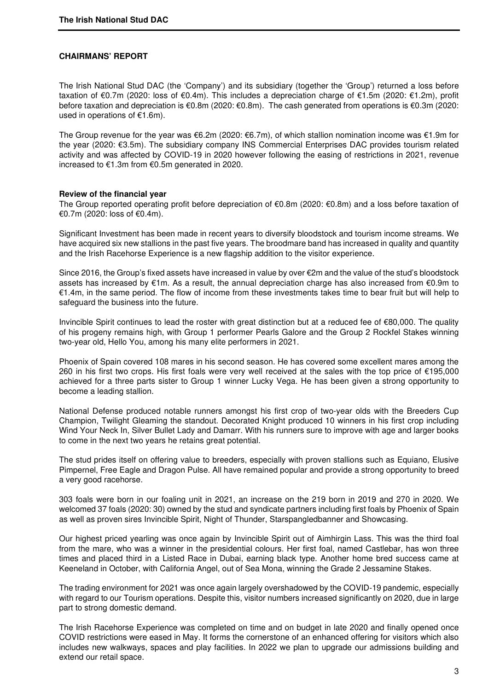#### **CHAIRMANS' REPORT**

The Irish National Stud DAC (the 'Company') and its subsidiary (together the 'Group') returned a loss before taxation of €0.7m (2020: loss of €0.4m). This includes a depreciation charge of €1.5m (2020: €1.2m), profit before taxation and depreciation is €0.8m (2020: €0.8m). The cash generated from operations is €0.3m (2020: used in operations of €1.6m).

The Group revenue for the year was €6.2m (2020: €6.7m), of which stallion nomination income was €1.9m for the year (2020: €3.5m). The subsidiary company INS Commercial Enterprises DAC provides tourism related activity and was affected by COVID-19 in 2020 however following the easing of restrictions in 2021, revenue increased to €1.3m from €0.5m generated in 2020.

#### **Review of the financial year**

The Group reported operating profit before depreciation of €0.8m (2020: €0.8m) and a loss before taxation of €0.7m (2020: loss of €0.4m).

Significant Investment has been made in recent years to diversify bloodstock and tourism income streams. We have acquired six new stallions in the past five years. The broodmare band has increased in quality and quantity and the Irish Racehorse Experience is a new flagship addition to the visitor experience.

Since 2016, the Group's fixed assets have increased in value by over €2m and the value of the stud's bloodstock assets has increased by €1m. As a result, the annual depreciation charge has also increased from €0.9m to €1.4m, in the same period. The flow of income from these investments takes time to bear fruit but will help to safeguard the business into the future.

Invincible Spirit continues to lead the roster with great distinction but at a reduced fee of €80,000. The quality of his progeny remains high, with Group 1 performer Pearls Galore and the Group 2 Rockfel Stakes winning two-year old, Hello You, among his many elite performers in 2021.

Phoenix of Spain covered 108 mares in his second season. He has covered some excellent mares among the 260 in his first two crops. His first foals were very well received at the sales with the top price of €195,000 achieved for a three parts sister to Group 1 winner Lucky Vega. He has been given a strong opportunity to become a leading stallion.

National Defense produced notable runners amongst his first crop of two-year olds with the Breeders Cup Champion, Twilight Gleaming the standout. Decorated Knight produced 10 winners in his first crop including Wind Your Neck In, Silver Bullet Lady and Damarr. With his runners sure to improve with age and larger books to come in the next two years he retains great potential.

The stud prides itself on offering value to breeders, especially with proven stallions such as Equiano, Elusive Pimpernel, Free Eagle and Dragon Pulse. All have remained popular and provide a strong opportunity to breed a very good racehorse.

303 foals were born in our foaling unit in 2021, an increase on the 219 born in 2019 and 270 in 2020. We welcomed 37 foals (2020: 30) owned by the stud and syndicate partners including first foals by Phoenix of Spain as well as proven sires Invincible Spirit, Night of Thunder, Starspangledbanner and Showcasing.

Our highest priced yearling was once again by Invincible Spirit out of Aimhirgin Lass. This was the third foal from the mare, who was a winner in the presidential colours. Her first foal, named Castlebar, has won three times and placed third in a Listed Race in Dubai, earning black type. Another home bred success came at Keeneland in October, with California Angel, out of Sea Mona, winning the Grade 2 Jessamine Stakes.

The trading environment for 2021 was once again largely overshadowed by the COVID-19 pandemic, especially with regard to our Tourism operations. Despite this, visitor numbers increased significantly on 2020, due in large part to strong domestic demand.

The Irish Racehorse Experience was completed on time and on budget in late 2020 and finally opened once COVID restrictions were eased in May. It forms the cornerstone of an enhanced offering for visitors which also includes new walkways, spaces and play facilities. In 2022 we plan to upgrade our admissions building and extend our retail space.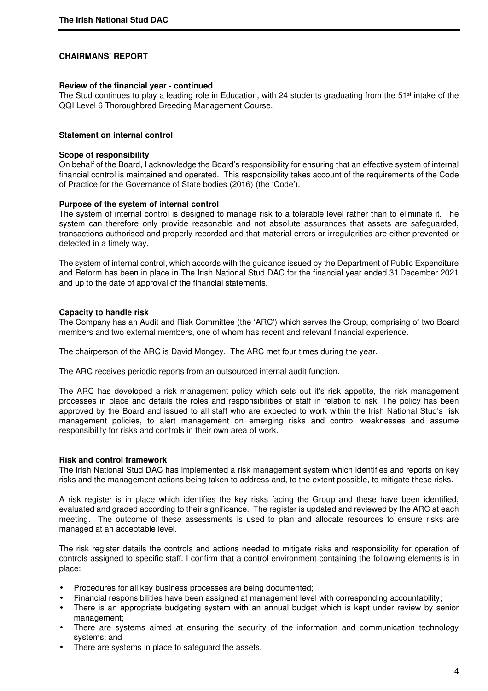#### **CHAIRMANS' REPORT**

#### **Review of the financial year - continued**

The Stud continues to play a leading role in Education, with 24 students graduating from the 51<sup>st</sup> intake of the QQI Level 6 Thoroughbred Breeding Management Course.

#### **Statement on internal control**

#### **Scope of responsibility**

On behalf of the Board, I acknowledge the Board's responsibility for ensuring that an effective system of internal financial control is maintained and operated. This responsibility takes account of the requirements of the Code of Practice for the Governance of State bodies (2016) (the 'Code').

#### **Purpose of the system of internal control**

The system of internal control is designed to manage risk to a tolerable level rather than to eliminate it. The system can therefore only provide reasonable and not absolute assurances that assets are safeguarded, transactions authorised and properly recorded and that material errors or irregularities are either prevented or detected in a timely way.

The system of internal control, which accords with the guidance issued by the Department of Public Expenditure and Reform has been in place in The Irish National Stud DAC for the financial year ended 31 December 2021 and up to the date of approval of the financial statements.

### **Capacity to handle risk**

The Company has an Audit and Risk Committee (the 'ARC') which serves the Group, comprising of two Board members and two external members, one of whom has recent and relevant financial experience.

The chairperson of the ARC is David Mongey. The ARC met four times during the year.

The ARC receives periodic reports from an outsourced internal audit function.

The ARC has developed a risk management policy which sets out it's risk appetite, the risk management processes in place and details the roles and responsibilities of staff in relation to risk. The policy has been approved by the Board and issued to all staff who are expected to work within the Irish National Stud's risk management policies, to alert management on emerging risks and control weaknesses and assume responsibility for risks and controls in their own area of work.

#### **Risk and control framework**

The Irish National Stud DAC has implemented a risk management system which identifies and reports on key risks and the management actions being taken to address and, to the extent possible, to mitigate these risks.

A risk register is in place which identifies the key risks facing the Group and these have been identified, evaluated and graded according to their significance. The register is updated and reviewed by the ARC at each meeting. The outcome of these assessments is used to plan and allocate resources to ensure risks are managed at an acceptable level.

The risk register details the controls and actions needed to mitigate risks and responsibility for operation of controls assigned to specific staff. I confirm that a control environment containing the following elements is in place:

- Procedures for all key business processes are being documented;
- Financial responsibilities have been assigned at management level with corresponding accountability;
- There is an appropriate budgeting system with an annual budget which is kept under review by senior management;
- There are systems aimed at ensuring the security of the information and communication technology systems; and
- There are systems in place to safeguard the assets.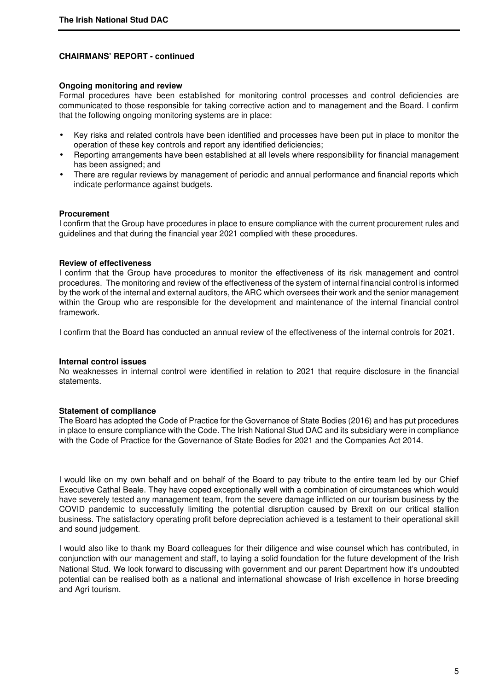## **CHAIRMANS' REPORT - continued**

#### **Ongoing monitoring and review**

Formal procedures have been established for monitoring control processes and control deficiencies are communicated to those responsible for taking corrective action and to management and the Board. I confirm that the following ongoing monitoring systems are in place:

- Key risks and related controls have been identified and processes have been put in place to monitor the operation of these key controls and report any identified deficiencies;
- Reporting arrangements have been established at all levels where responsibility for financial management has been assigned; and
- There are regular reviews by management of periodic and annual performance and financial reports which indicate performance against budgets.

### **Procurement**

I confirm that the Group have procedures in place to ensure compliance with the current procurement rules and guidelines and that during the financial year 2021 complied with these procedures.

### **Review of effectiveness**

I confirm that the Group have procedures to monitor the effectiveness of its risk management and control procedures. The monitoring and review of the effectiveness of the system of internal financial control is informed by the work of the internal and external auditors, the ARC which oversees their work and the senior management within the Group who are responsible for the development and maintenance of the internal financial control framework.

I confirm that the Board has conducted an annual review of the effectiveness of the internal controls for 2021.

#### **Internal control issues**

No weaknesses in internal control were identified in relation to 2021 that require disclosure in the financial statements.

#### **Statement of compliance**

The Board has adopted the Code of Practice for the Governance of State Bodies (2016) and has put procedures in place to ensure compliance with the Code. The Irish National Stud DAC and its subsidiary were in compliance with the Code of Practice for the Governance of State Bodies for 2021 and the Companies Act 2014.

I would like on my own behalf and on behalf of the Board to pay tribute to the entire team led by our Chief Executive Cathal Beale. They have coped exceptionally well with a combination of circumstances which would have severely tested any management team, from the severe damage inflicted on our tourism business by the COVID pandemic to successfully limiting the potential disruption caused by Brexit on our critical stallion business. The satisfactory operating profit before depreciation achieved is a testament to their operational skill and sound judgement.

I would also like to thank my Board colleagues for their diligence and wise counsel which has contributed, in conjunction with our management and staff, to laying a solid foundation for the future development of the Irish National Stud. We look forward to discussing with government and our parent Department how it's undoubted potential can be realised both as a national and international showcase of Irish excellence in horse breeding and Agri tourism.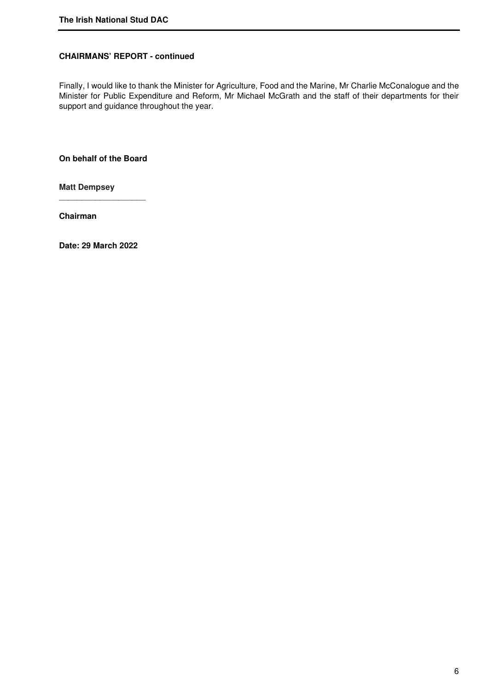# **CHAIRMANS' REPORT - continued**

Finally, I would like to thank the Minister for Agriculture, Food and the Marine, Mr Charlie McConalogue and the Minister for Public Expenditure and Reform, Mr Michael McGrath and the staff of their departments for their support and guidance throughout the year.

**On behalf of the Board** 

\_\_\_\_\_\_\_\_\_\_\_\_\_\_\_\_\_\_\_

**Matt Dempsey** 

**Chairman** 

**Date: 29 March 2022**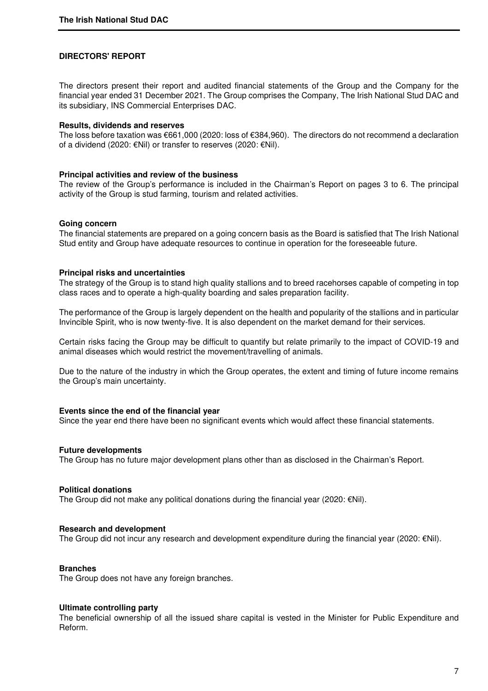#### **DIRECTORS' REPORT**

The directors present their report and audited financial statements of the Group and the Company for the financial year ended 31 December 2021. The Group comprises the Company, The Irish National Stud DAC and its subsidiary, INS Commercial Enterprises DAC.

#### **Results, dividends and reserves**

The loss before taxation was €661,000 (2020: loss of €384,960). The directors do not recommend a declaration of a dividend (2020: €Nil) or transfer to reserves (2020: €Nil).

#### **Principal activities and review of the business**

The review of the Group's performance is included in the Chairman's Report on pages 3 to 6. The principal activity of the Group is stud farming, tourism and related activities.

#### **Going concern**

The financial statements are prepared on a going concern basis as the Board is satisfied that The Irish National Stud entity and Group have adequate resources to continue in operation for the foreseeable future.

#### **Principal risks and uncertainties**

The strategy of the Group is to stand high quality stallions and to breed racehorses capable of competing in top class races and to operate a high-quality boarding and sales preparation facility.

The performance of the Group is largely dependent on the health and popularity of the stallions and in particular Invincible Spirit, who is now twenty-five. It is also dependent on the market demand for their services.

Certain risks facing the Group may be difficult to quantify but relate primarily to the impact of COVID-19 and animal diseases which would restrict the movement/travelling of animals.

Due to the nature of the industry in which the Group operates, the extent and timing of future income remains the Group's main uncertainty.

#### **Events since the end of the financial year**

Since the year end there have been no significant events which would affect these financial statements.

#### **Future developments**

The Group has no future major development plans other than as disclosed in the Chairman's Report.

#### **Political donations**

The Group did not make any political donations during the financial year (2020:  $\epsilon$ Nil).

#### **Research and development**

The Group did not incur any research and development expenditure during the financial year (2020:  $\epsilon$ Nil).

#### **Branches**

The Group does not have any foreign branches.

#### **Ultimate controlling party**

The beneficial ownership of all the issued share capital is vested in the Minister for Public Expenditure and Reform.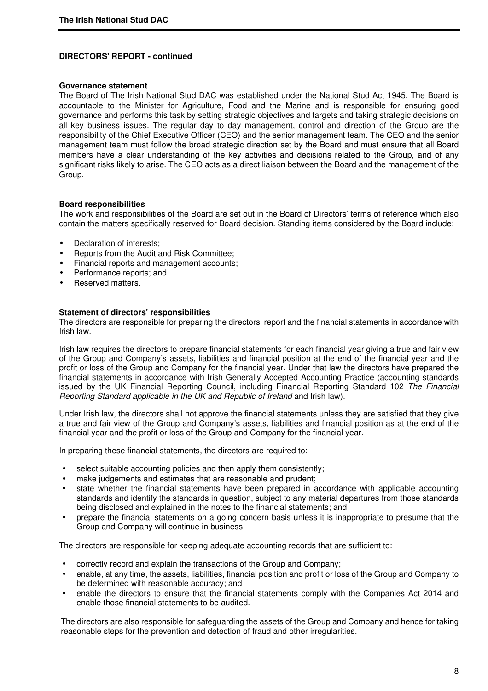#### **Governance statement**

The Board of The Irish National Stud DAC was established under the National Stud Act 1945. The Board is accountable to the Minister for Agriculture, Food and the Marine and is responsible for ensuring good governance and performs this task by setting strategic objectives and targets and taking strategic decisions on all key business issues. The regular day to day management, control and direction of the Group are the responsibility of the Chief Executive Officer (CEO) and the senior management team. The CEO and the senior management team must follow the broad strategic direction set by the Board and must ensure that all Board members have a clear understanding of the key activities and decisions related to the Group, and of any significant risks likely to arise. The CEO acts as a direct liaison between the Board and the management of the Group.

#### **Board responsibilities**

The work and responsibilities of the Board are set out in the Board of Directors' terms of reference which also contain the matters specifically reserved for Board decision. Standing items considered by the Board include:

- Declaration of interests:
- Reports from the Audit and Risk Committee;
- Financial reports and management accounts;
- Performance reports; and
- Reserved matters.

#### **Statement of directors' responsibilities**

The directors are responsible for preparing the directors' report and the financial statements in accordance with Irish law.

Irish law requires the directors to prepare financial statements for each financial year giving a true and fair view of the Group and Company's assets, liabilities and financial position at the end of the financial year and the profit or loss of the Group and Company for the financial year. Under that law the directors have prepared the financial statements in accordance with Irish Generally Accepted Accounting Practice (accounting standards issued by the UK Financial Reporting Council, including Financial Reporting Standard 102 The Financial Reporting Standard applicable in the UK and Republic of Ireland and Irish law).

Under Irish law, the directors shall not approve the financial statements unless they are satisfied that they give a true and fair view of the Group and Company's assets, liabilities and financial position as at the end of the financial year and the profit or loss of the Group and Company for the financial year.

In preparing these financial statements, the directors are required to:

- select suitable accounting policies and then apply them consistently;
- make judgements and estimates that are reasonable and prudent;
- state whether the financial statements have been prepared in accordance with applicable accounting standards and identify the standards in question, subject to any material departures from those standards being disclosed and explained in the notes to the financial statements; and
- prepare the financial statements on a going concern basis unless it is inappropriate to presume that the Group and Company will continue in business.

The directors are responsible for keeping adequate accounting records that are sufficient to:

- correctly record and explain the transactions of the Group and Company;
- enable, at any time, the assets, liabilities, financial position and profit or loss of the Group and Company to be determined with reasonable accuracy; and
- enable the directors to ensure that the financial statements comply with the Companies Act 2014 and enable those financial statements to be audited.

The directors are also responsible for safeguarding the assets of the Group and Company and hence for taking reasonable steps for the prevention and detection of fraud and other irregularities.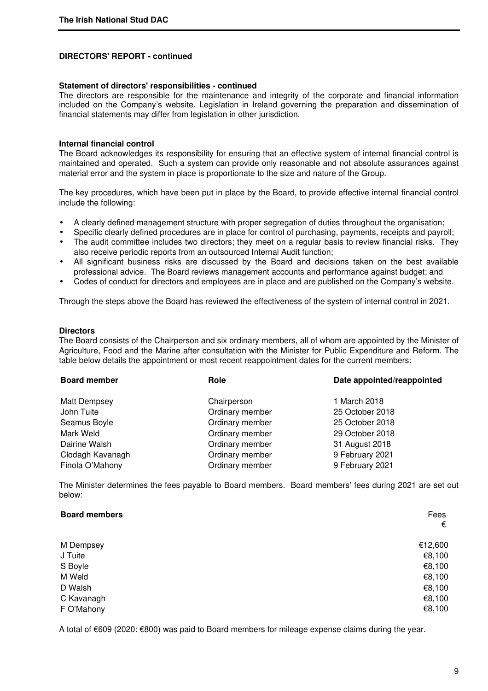#### **Statement of directors' responsibilities - continued**

The directors are responsible for the maintenance and integrity of the corporate and financial information included on the Company's website. Legislation in Ireland governing the preparation and dissemination of financial statements may differ from legislation in other jurisdiction.

#### **Internal financial control**

The Board acknowledges its responsibility for ensuring that an effective system of internal financial control is maintained and operated. Such a system can provide only reasonable and not absolute assurances against material error and the system in place is proportionate to the size and nature of the Group.

The key procedures, which have been put in place by the Board, to provide effective internal financial control include the following:

- A clearly defined management structure with proper segregation of duties throughout the organisation;
- Specific clearly defined procedures are in place for control of purchasing, payments, receipts and payroll;
- The audit committee includes two directors; they meet on a regular basis to review financial risks. They also receive periodic reports from an outsourced Internal Audit function;
- All significant business risks are discussed by the Board and decisions taken on the best available professional advice. The Board reviews management accounts and performance against budget; and
- Codes of conduct for directors and employees are in place and are published on the Company's website.

Through the steps above the Board has reviewed the effectiveness of the system of internal control in 2021.

#### **Directors**

The Board consists of the Chairperson and six ordinary members, all of whom are appointed by the Minister of Agriculture, Food and the Marine after consultation with the Minister for Public Expenditure and Reform. The table below details the appointment or most recent reappointment dates for the current members:

| <b>Board member</b> | Role            | Date appointed/reappointed |
|---------------------|-----------------|----------------------------|
| <b>Matt Dempsey</b> | Chairperson     | 1 March 2018               |
| John Tuite          | Ordinary member | 25 October 2018            |
| Seamus Boyle        | Ordinary member | 25 October 2018            |
| Mark Weld           | Ordinary member | 29 October 2018            |
| Dairine Walsh       | Ordinary member | 31 August 2018             |
| Clodagh Kavanagh    | Ordinary member | 9 February 2021            |
| Finola O'Mahony     | Ordinary member | 9 February 2021            |

The Minister determines the fees payable to Board members. Board members' fees during 2021 are set out below:

| <b>Board members</b> | Fees<br>€ |
|----------------------|-----------|
| M Dempsey            | €12,600   |
| J Tuite              | €8,100    |
| S Boyle              | €8,100    |
| M Weld               | €8,100    |
| D Walsh              | €8,100    |
| C Kavanagh           | €8,100    |
| F O'Mahony           | €8,100    |

A total of €609 (2020: €800) was paid to Board members for mileage expense claims during the year.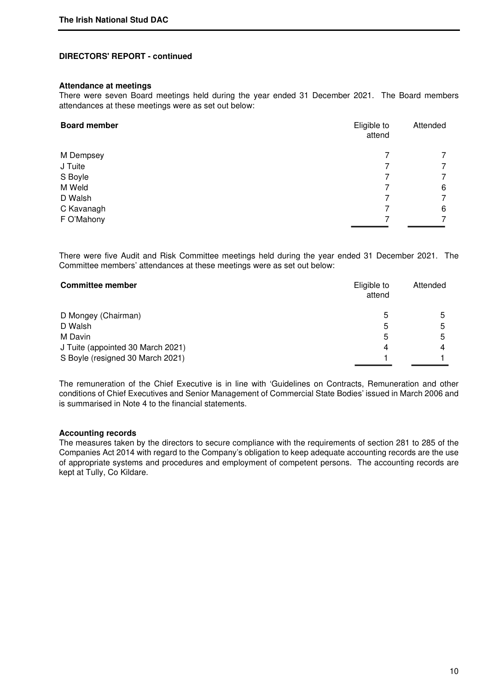#### **Attendance at meetings**

There were seven Board meetings held during the year ended 31 December 2021. The Board members attendances at these meetings were as set out below:

| <b>Board member</b> | Eligible to<br>attend | Attended       |
|---------------------|-----------------------|----------------|
| M Dempsey           |                       | $\overline{7}$ |
| J Tuite             |                       | 7              |
| S Boyle             |                       | $\overline{7}$ |
| M Weld              |                       | 6              |
| D Walsh             |                       | 7              |
| C Kavanagh          |                       | 6              |
| F O'Mahony          |                       | 7              |

There were five Audit and Risk Committee meetings held during the year ended 31 December 2021. The Committee members' attendances at these meetings were as set out below:

| <b>Committee member</b>           | Eligible to<br>attend | Attended |
|-----------------------------------|-----------------------|----------|
| D Mongey (Chairman)               | 5                     | 5        |
| D Walsh                           | 5                     | 5        |
| M Davin                           | 5                     | 5        |
| J Tuite (appointed 30 March 2021) | 4                     |          |
| S Boyle (resigned 30 March 2021)  |                       |          |

The remuneration of the Chief Executive is in line with 'Guidelines on Contracts, Remuneration and other conditions of Chief Executives and Senior Management of Commercial State Bodies' issued in March 2006 and is summarised in Note 4 to the financial statements.

#### **Accounting records**

The measures taken by the directors to secure compliance with the requirements of section 281 to 285 of the Companies Act 2014 with regard to the Company's obligation to keep adequate accounting records are the use of appropriate systems and procedures and employment of competent persons. The accounting records are kept at Tully, Co Kildare.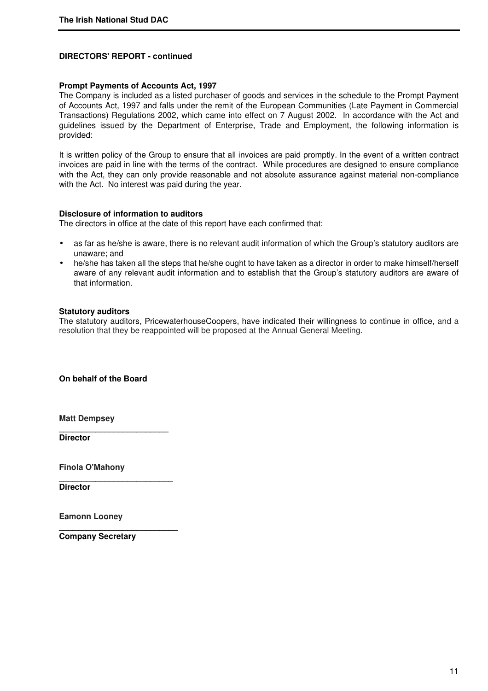# **Prompt Payments of Accounts Act, 1997**

The Company is included as a listed purchaser of goods and services in the schedule to the Prompt Payment of Accounts Act, 1997 and falls under the remit of the European Communities (Late Payment in Commercial Transactions) Regulations 2002, which came into effect on 7 August 2002. In accordance with the Act and guidelines issued by the Department of Enterprise, Trade and Employment, the following information is provided:

It is written policy of the Group to ensure that all invoices are paid promptly. In the event of a written contract invoices are paid in line with the terms of the contract. While procedures are designed to ensure compliance with the Act, they can only provide reasonable and not absolute assurance against material non-compliance with the Act. No interest was paid during the year.

### **Disclosure of information to auditors**

The directors in office at the date of this report have each confirmed that:

- as far as he/she is aware, there is no relevant audit information of which the Group's statutory auditors are unaware; and
- he/she has taken all the steps that he/she ought to have taken as a director in order to make himself/herself aware of any relevant audit information and to establish that the Group's statutory auditors are aware of that information.

### **Statutory auditors**

The statutory auditors, PricewaterhouseCoopers, have indicated their willingness to continue in office, and a resolution that they be reappointed will be proposed at the Annual General Meeting.

**On behalf of the Board**

**\_\_\_\_\_\_\_\_\_\_\_\_\_\_\_\_\_\_\_\_\_\_\_\_** 

**\_\_\_\_\_\_\_\_\_\_\_\_\_\_\_\_\_\_\_\_\_\_\_\_\_** 

**\_\_\_\_\_\_\_\_\_\_\_\_\_\_\_\_\_\_\_\_\_\_\_\_\_\_** 

**Matt Dempsey** 

**Director** 

**Finola O'Mahony**

**Director** 

**Eamonn Looney** 

**Company Secretary**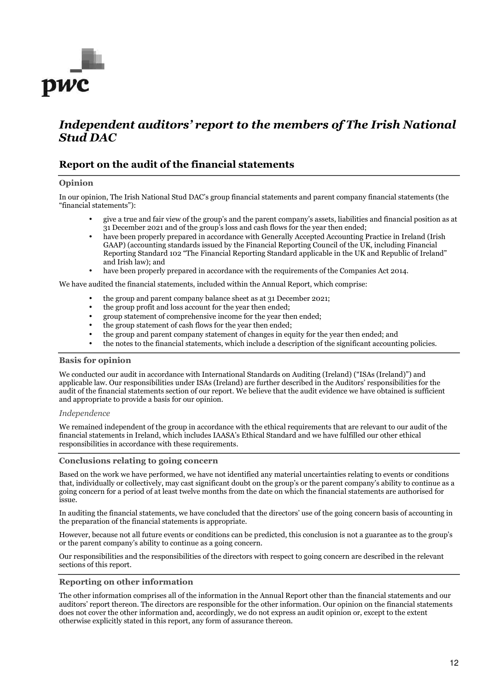

# *Independent auditors' report to the members of The Irish National Stud DAC*

# **Report on the audit of the financial statements**

#### **Opinion**

In our opinion, The Irish National Stud DAC's group financial statements and parent company financial statements (the "financial statements"):

- give a true and fair view of the group's and the parent company's assets, liabilities and financial position as at 31 December 2021 and of the group's loss and cash flows for the year then ended;
- have been properly prepared in accordance with Generally Accepted Accounting Practice in Ireland (Irish GAAP) (accounting standards issued by the Financial Reporting Council of the UK, including Financial Reporting Standard 102 "The Financial Reporting Standard applicable in the UK and Republic of Ireland" and Irish law); and
- have been properly prepared in accordance with the requirements of the Companies Act 2014.

We have audited the financial statements, included within the Annual Report, which comprise:

- the group and parent company balance sheet as at 31 December 2021;
- the group profit and loss account for the year then ended;
- group statement of comprehensive income for the year then ended;
- the group statement of cash flows for the year then ended;
- the group and parent company statement of changes in equity for the year then ended; and
- the notes to the financial statements, which include a description of the significant accounting policies.

#### **Basis for opinion**

We conducted our audit in accordance with International Standards on Auditing (Ireland) ("ISAs (Ireland)") and applicable law. Our responsibilities under ISAs (Ireland) are further described in the Auditors' responsibilities for the audit of the financial statements section of our report. We believe that the audit evidence we have obtained is sufficient and appropriate to provide a basis for our opinion.

#### *Independence*

We remained independent of the group in accordance with the ethical requirements that are relevant to our audit of the financial statements in Ireland, which includes IAASA's Ethical Standard and we have fulfilled our other ethical responsibilities in accordance with these requirements.

#### **Conclusions relating to going concern**

Based on the work we have performed, we have not identified any material uncertainties relating to events or conditions that, individually or collectively, may cast significant doubt on the group's or the parent company's ability to continue as a going concern for a period of at least twelve months from the date on which the financial statements are authorised for issue.

In auditing the financial statements, we have concluded that the directors' use of the going concern basis of accounting in the preparation of the financial statements is appropriate.

However, because not all future events or conditions can be predicted, this conclusion is not a guarantee as to the group's or the parent company's ability to continue as a going concern.

Our responsibilities and the responsibilities of the directors with respect to going concern are described in the relevant sections of this report.

#### **Reporting on other information**

The other information comprises all of the information in the Annual Report other than the financial statements and our auditors' report thereon. The directors are responsible for the other information. Our opinion on the financial statements does not cover the other information and, accordingly, we do not express an audit opinion or, except to the extent otherwise explicitly stated in this report, any form of assurance thereon.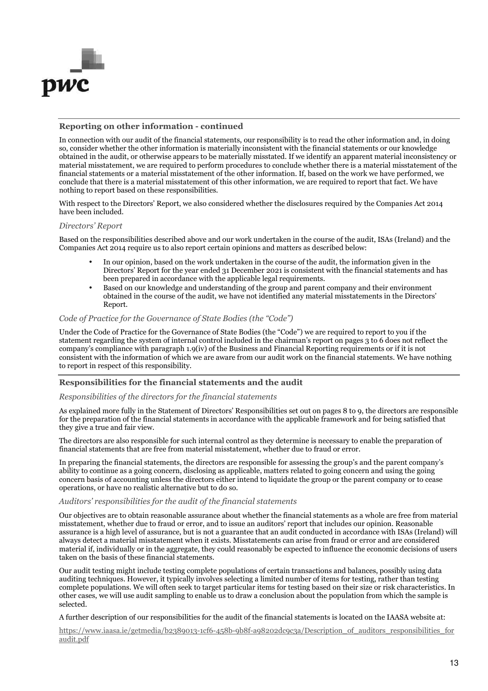

#### **Reporting on other information - continued**

In connection with our audit of the financial statements, our responsibility is to read the other information and, in doing so, consider whether the other information is materially inconsistent with the financial statements or our knowledge obtained in the audit, or otherwise appears to be materially misstated. If we identify an apparent material inconsistency or material misstatement, we are required to perform procedures to conclude whether there is a material misstatement of the financial statements or a material misstatement of the other information. If, based on the work we have performed, we conclude that there is a material misstatement of this other information, we are required to report that fact. We have nothing to report based on these responsibilities.

With respect to the Directors' Report, we also considered whether the disclosures required by the Companies Act 2014 have been included.

#### *Directors' Report*

Based on the responsibilities described above and our work undertaken in the course of the audit, ISAs (Ireland) and the Companies Act 2014 require us to also report certain opinions and matters as described below:

- In our opinion, based on the work undertaken in the course of the audit, the information given in the Directors' Report for the year ended 31 December 2021 is consistent with the financial statements and has been prepared in accordance with the applicable legal requirements.
- Based on our knowledge and understanding of the group and parent company and their environment obtained in the course of the audit, we have not identified any material misstatements in the Directors' Report.

#### *Code of Practice for the Governance of State Bodies (the "Code")*

Under the Code of Practice for the Governance of State Bodies (the "Code") we are required to report to you if the statement regarding the system of internal control included in the chairman's report on pages 3 to 6 does not reflect the company's compliance with paragraph 1.9(iv) of the Business and Financial Reporting requirements or if it is not consistent with the information of which we are aware from our audit work on the financial statements. We have nothing to report in respect of this responsibility.

#### **Responsibilities for the financial statements and the audit**

#### *Responsibilities of the directors for the financial statements*

As explained more fully in the Statement of Directors' Responsibilities set out on pages 8 to 9, the directors are responsible for the preparation of the financial statements in accordance with the applicable framework and for being satisfied that they give a true and fair view.

The directors are also responsible for such internal control as they determine is necessary to enable the preparation of financial statements that are free from material misstatement, whether due to fraud or error.

In preparing the financial statements, the directors are responsible for assessing the group's and the parent company's ability to continue as a going concern, disclosing as applicable, matters related to going concern and using the going concern basis of accounting unless the directors either intend to liquidate the group or the parent company or to cease operations, or have no realistic alternative but to do so.

#### *Auditors' responsibilities for the audit of the financial statements*

Our objectives are to obtain reasonable assurance about whether the financial statements as a whole are free from material misstatement, whether due to fraud or error, and to issue an auditors' report that includes our opinion. Reasonable assurance is a high level of assurance, but is not a guarantee that an audit conducted in accordance with ISAs (Ireland) will always detect a material misstatement when it exists. Misstatements can arise from fraud or error and are considered material if, individually or in the aggregate, they could reasonably be expected to influence the economic decisions of users taken on the basis of these financial statements.

Our audit testing might include testing complete populations of certain transactions and balances, possibly using data auditing techniques. However, it typically involves selecting a limited number of items for testing, rather than testing complete populations. We will often seek to target particular items for testing based on their size or risk characteristics. In other cases, we will use audit sampling to enable us to draw a conclusion about the population from which the sample is selected.

A further description of our responsibilities for the audit of the financial statements is located on the IAASA website at:

https://www.iaasa.ie/getmedia/b2389013-1cf6-458b-9b8f-a98202dc9c3a/Description\_of\_auditors\_responsibilities\_for audit.pdf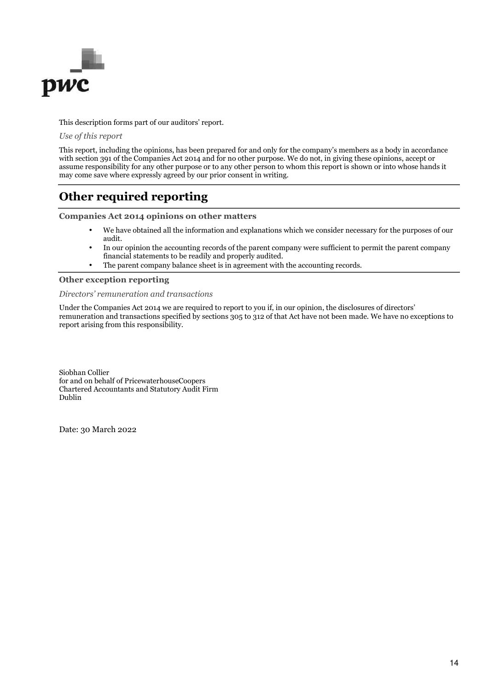

This description forms part of our auditors' report.

*Use of this report* 

This report, including the opinions, has been prepared for and only for the company's members as a body in accordance with section 391 of the Companies Act 2014 and for no other purpose. We do not, in giving these opinions, accept or assume responsibility for any other purpose or to any other person to whom this report is shown or into whose hands it may come save where expressly agreed by our prior consent in writing.

# **Other required reporting**

**Companies Act 2014 opinions on other matters** 

- We have obtained all the information and explanations which we consider necessary for the purposes of our audit.
- In our opinion the accounting records of the parent company were sufficient to permit the parent company financial statements to be readily and properly audited.
- The parent company balance sheet is in agreement with the accounting records.

#### **Other exception reporting**

#### *Directors' remuneration and transactions*

Under the Companies Act 2014 we are required to report to you if, in our opinion, the disclosures of directors' remuneration and transactions specified by sections 305 to 312 of that Act have not been made. We have no exceptions to report arising from this responsibility.

Siobhan Collier for and on behalf of PricewaterhouseCoopers Chartered Accountants and Statutory Audit Firm Dublin

Date: 30 March 2022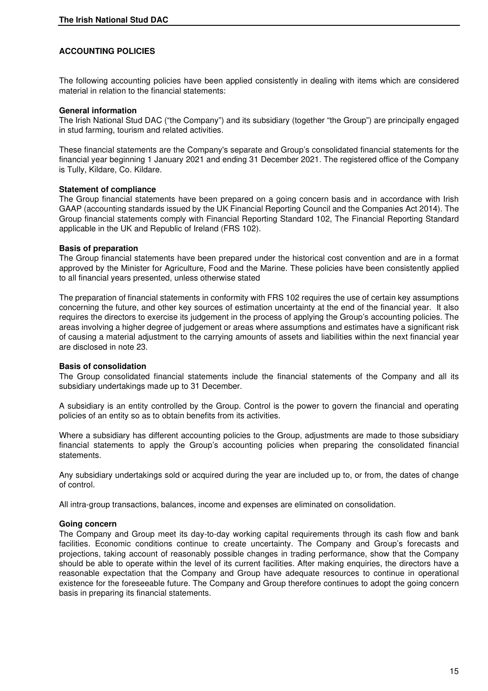# **ACCOUNTING POLICIES**

The following accounting policies have been applied consistently in dealing with items which are considered material in relation to the financial statements:

#### **General information**

The Irish National Stud DAC ("the Company") and its subsidiary (together "the Group") are principally engaged in stud farming, tourism and related activities.

These financial statements are the Company's separate and Group's consolidated financial statements for the financial year beginning 1 January 2021 and ending 31 December 2021. The registered office of the Company is Tully, Kildare, Co. Kildare.

### **Statement of compliance**

The Group financial statements have been prepared on a going concern basis and in accordance with Irish GAAP (accounting standards issued by the UK Financial Reporting Council and the Companies Act 2014). The Group financial statements comply with Financial Reporting Standard 102, The Financial Reporting Standard applicable in the UK and Republic of Ireland (FRS 102).

### **Basis of preparation**

The Group financial statements have been prepared under the historical cost convention and are in a format approved by the Minister for Agriculture, Food and the Marine. These policies have been consistently applied to all financial years presented, unless otherwise stated

The preparation of financial statements in conformity with FRS 102 requires the use of certain key assumptions concerning the future, and other key sources of estimation uncertainty at the end of the financial year. It also requires the directors to exercise its judgement in the process of applying the Group's accounting policies. The areas involving a higher degree of judgement or areas where assumptions and estimates have a significant risk of causing a material adjustment to the carrying amounts of assets and liabilities within the next financial year are disclosed in note 23.

#### **Basis of consolidation**

The Group consolidated financial statements include the financial statements of the Company and all its subsidiary undertakings made up to 31 December.

A subsidiary is an entity controlled by the Group. Control is the power to govern the financial and operating policies of an entity so as to obtain benefits from its activities.

Where a subsidiary has different accounting policies to the Group, adjustments are made to those subsidiary financial statements to apply the Group's accounting policies when preparing the consolidated financial statements.

Any subsidiary undertakings sold or acquired during the year are included up to, or from, the dates of change of control.

All intra-group transactions, balances, income and expenses are eliminated on consolidation.

# **Going concern**

The Company and Group meet its day-to-day working capital requirements through its cash flow and bank facilities. Economic conditions continue to create uncertainty. The Company and Group's forecasts and projections, taking account of reasonably possible changes in trading performance, show that the Company should be able to operate within the level of its current facilities. After making enquiries, the directors have a reasonable expectation that the Company and Group have adequate resources to continue in operational existence for the foreseeable future. The Company and Group therefore continues to adopt the going concern basis in preparing its financial statements.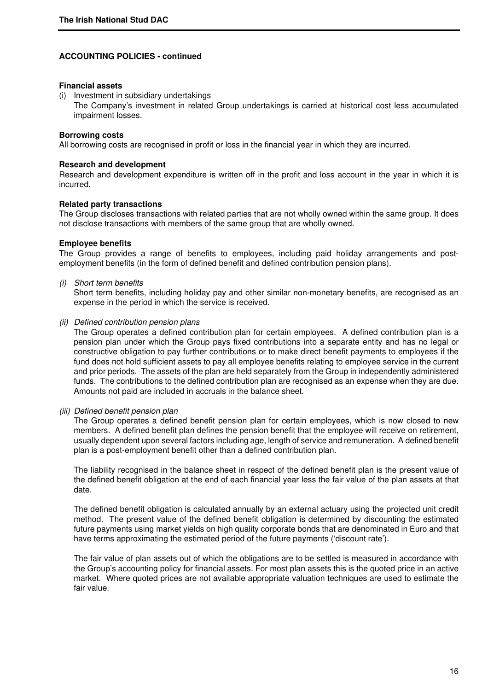#### **Financial assets**

(i) Investment in subsidiary undertakings The Company's investment in related Group undertakings is carried at historical cost less accumulated impairment losses.

#### **Borrowing costs**

All borrowing costs are recognised in profit or loss in the financial year in which they are incurred.

#### **Research and development**

Research and development expenditure is written off in the profit and loss account in the year in which it is incurred.

#### **Related party transactions**

The Group discloses transactions with related parties that are not wholly owned within the same group. It does not disclose transactions with members of the same group that are wholly owned.

#### **Employee benefits**

The Group provides a range of benefits to employees, including paid holiday arrangements and postemployment benefits (in the form of defined benefit and defined contribution pension plans).

(i) Short term benefits

 Short term benefits, including holiday pay and other similar non-monetary benefits, are recognised as an expense in the period in which the service is received.

#### (ii) Defined contribution pension plans

 The Group operates a defined contribution plan for certain employees. A defined contribution plan is a pension plan under which the Group pays fixed contributions into a separate entity and has no legal or constructive obligation to pay further contributions or to make direct benefit payments to employees if the fund does not hold sufficient assets to pay all employee benefits relating to employee service in the current and prior periods. The assets of the plan are held separately from the Group in independently administered funds. The contributions to the defined contribution plan are recognised as an expense when they are due. Amounts not paid are included in accruals in the balance sheet.

#### (iii) Defined benefit pension plan

 The Group operates a defined benefit pension plan for certain employees, which is now closed to new members. A defined benefit plan defines the pension benefit that the employee will receive on retirement, usually dependent upon several factors including age, length of service and remuneration. A defined benefit plan is a post-employment benefit other than a defined contribution plan.

 The liability recognised in the balance sheet in respect of the defined benefit plan is the present value of the defined benefit obligation at the end of each financial year less the fair value of the plan assets at that date.

 The defined benefit obligation is calculated annually by an external actuary using the projected unit credit method. The present value of the defined benefit obligation is determined by discounting the estimated future payments using market yields on high quality corporate bonds that are denominated in Euro and that have terms approximating the estimated period of the future payments ('discount rate').

 The fair value of plan assets out of which the obligations are to be settled is measured in accordance with the Group's accounting policy for financial assets. For most plan assets this is the quoted price in an active market. Where quoted prices are not available appropriate valuation techniques are used to estimate the fair value.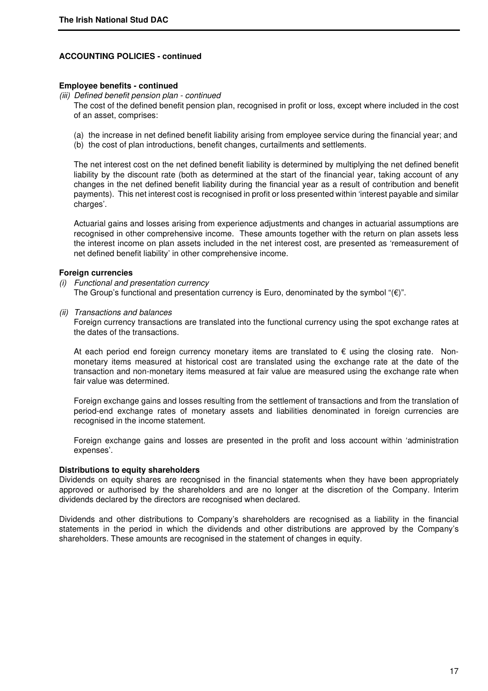#### **Employee benefits - continued**

# (iii) Defined benefit pension plan - continued

 The cost of the defined benefit pension plan, recognised in profit or loss, except where included in the cost of an asset, comprises:

- (a) the increase in net defined benefit liability arising from employee service during the financial year; and
- (b) the cost of plan introductions, benefit changes, curtailments and settlements.

 The net interest cost on the net defined benefit liability is determined by multiplying the net defined benefit liability by the discount rate (both as determined at the start of the financial year, taking account of any changes in the net defined benefit liability during the financial year as a result of contribution and benefit payments). This net interest cost is recognised in profit or loss presented within 'interest payable and similar charges'.

 Actuarial gains and losses arising from experience adjustments and changes in actuarial assumptions are recognised in other comprehensive income. These amounts together with the return on plan assets less the interest income on plan assets included in the net interest cost, are presented as 'remeasurement of net defined benefit liability' in other comprehensive income.

### **Foreign currencies**

(i) Functional and presentation currency

The Group's functional and presentation currency is Euro, denominated by the symbol " $(E)$ ".

(ii) Transactions and balances

 Foreign currency transactions are translated into the functional currency using the spot exchange rates at the dates of the transactions.

At each period end foreign currency monetary items are translated to  $\epsilon$  using the closing rate. Nonmonetary items measured at historical cost are translated using the exchange rate at the date of the transaction and non-monetary items measured at fair value are measured using the exchange rate when fair value was determined.

Foreign exchange gains and losses resulting from the settlement of transactions and from the translation of period-end exchange rates of monetary assets and liabilities denominated in foreign currencies are recognised in the income statement.

Foreign exchange gains and losses are presented in the profit and loss account within 'administration expenses'.

#### **Distributions to equity shareholders**

Dividends on equity shares are recognised in the financial statements when they have been appropriately approved or authorised by the shareholders and are no longer at the discretion of the Company. Interim dividends declared by the directors are recognised when declared.

Dividends and other distributions to Company's shareholders are recognised as a liability in the financial statements in the period in which the dividends and other distributions are approved by the Company's shareholders. These amounts are recognised in the statement of changes in equity.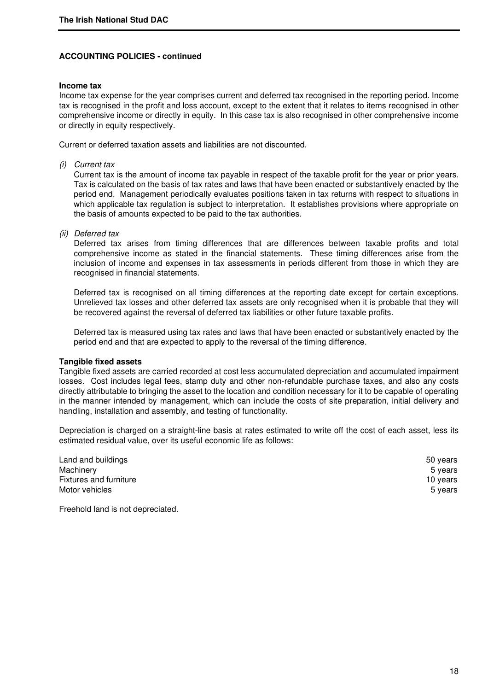#### **Income tax**

Income tax expense for the year comprises current and deferred tax recognised in the reporting period. Income tax is recognised in the profit and loss account, except to the extent that it relates to items recognised in other comprehensive income or directly in equity. In this case tax is also recognised in other comprehensive income or directly in equity respectively.

Current or deferred taxation assets and liabilities are not discounted.

(i) Current tax

 Current tax is the amount of income tax payable in respect of the taxable profit for the year or prior years. Tax is calculated on the basis of tax rates and laws that have been enacted or substantively enacted by the period end. Management periodically evaluates positions taken in tax returns with respect to situations in which applicable tax regulation is subject to interpretation. It establishes provisions where appropriate on the basis of amounts expected to be paid to the tax authorities.

(ii) Deferred tax

 Deferred tax arises from timing differences that are differences between taxable profits and total comprehensive income as stated in the financial statements. These timing differences arise from the inclusion of income and expenses in tax assessments in periods different from those in which they are recognised in financial statements.

Deferred tax is recognised on all timing differences at the reporting date except for certain exceptions. Unrelieved tax losses and other deferred tax assets are only recognised when it is probable that they will be recovered against the reversal of deferred tax liabilities or other future taxable profits.

 Deferred tax is measured using tax rates and laws that have been enacted or substantively enacted by the period end and that are expected to apply to the reversal of the timing difference.

#### **Tangible fixed assets**

Tangible fixed assets are carried recorded at cost less accumulated depreciation and accumulated impairment losses. Cost includes legal fees, stamp duty and other non-refundable purchase taxes, and also any costs directly attributable to bringing the asset to the location and condition necessary for it to be capable of operating in the manner intended by management, which can include the costs of site preparation, initial delivery and handling, installation and assembly, and testing of functionality.

Depreciation is charged on a straight-line basis at rates estimated to write off the cost of each asset, less its estimated residual value, over its useful economic life as follows:

| 50 years |
|----------|
| 5 years  |
| 10 years |
| 5 years  |
|          |

Freehold land is not depreciated.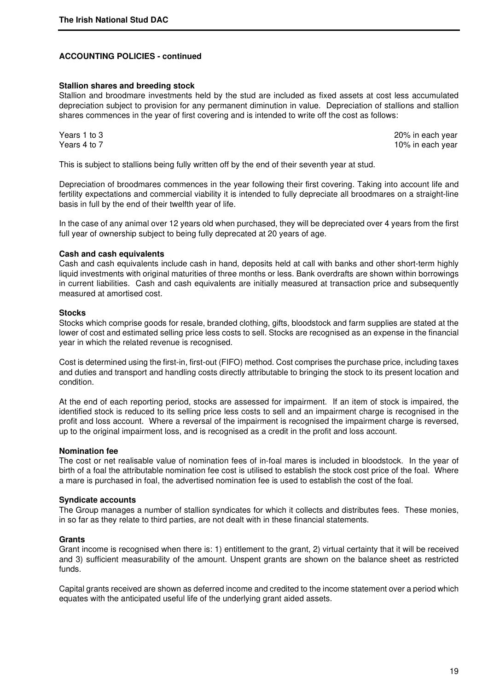#### **Stallion shares and breeding stock**

Stallion and broodmare investments held by the stud are included as fixed assets at cost less accumulated depreciation subject to provision for any permanent diminution in value. Depreciation of stallions and stallion shares commences in the year of first covering and is intended to write off the cost as follows:

Years 1 to 3 20% in each year Years 4 to 7 10% in each year.

This is subject to stallions being fully written off by the end of their seventh year at stud.

Depreciation of broodmares commences in the year following their first covering. Taking into account life and fertility expectations and commercial viability it is intended to fully depreciate all broodmares on a straight-line basis in full by the end of their twelfth year of life.

In the case of any animal over 12 years old when purchased, they will be depreciated over 4 years from the first full year of ownership subject to being fully deprecated at 20 years of age.

### **Cash and cash equivalents**

Cash and cash equivalents include cash in hand, deposits held at call with banks and other short-term highly liquid investments with original maturities of three months or less. Bank overdrafts are shown within borrowings in current liabilities. Cash and cash equivalents are initially measured at transaction price and subsequently measured at amortised cost.

### **Stocks**

Stocks which comprise goods for resale, branded clothing, gifts, bloodstock and farm supplies are stated at the lower of cost and estimated selling price less costs to sell. Stocks are recognised as an expense in the financial year in which the related revenue is recognised.

Cost is determined using the first-in, first-out (FIFO) method. Cost comprises the purchase price, including taxes and duties and transport and handling costs directly attributable to bringing the stock to its present location and condition.

At the end of each reporting period, stocks are assessed for impairment. If an item of stock is impaired, the identified stock is reduced to its selling price less costs to sell and an impairment charge is recognised in the profit and loss account. Where a reversal of the impairment is recognised the impairment charge is reversed, up to the original impairment loss, and is recognised as a credit in the profit and loss account.

#### **Nomination fee**

The cost or net realisable value of nomination fees of in-foal mares is included in bloodstock. In the year of birth of a foal the attributable nomination fee cost is utilised to establish the stock cost price of the foal. Where a mare is purchased in foal, the advertised nomination fee is used to establish the cost of the foal.

#### **Syndicate accounts**

The Group manages a number of stallion syndicates for which it collects and distributes fees. These monies, in so far as they relate to third parties, are not dealt with in these financial statements.

#### **Grants**

Grant income is recognised when there is: 1) entitlement to the grant, 2) virtual certainty that it will be received and 3) sufficient measurability of the amount. Unspent grants are shown on the balance sheet as restricted funds.

Capital grants received are shown as deferred income and credited to the income statement over a period which equates with the anticipated useful life of the underlying grant aided assets.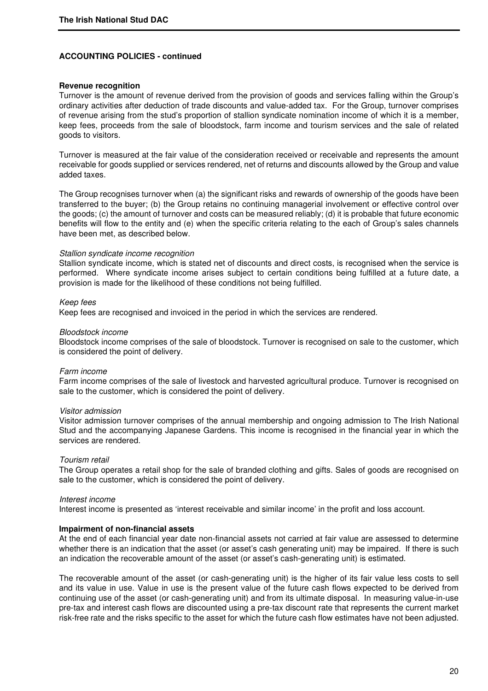#### **Revenue recognition**

Turnover is the amount of revenue derived from the provision of goods and services falling within the Group's ordinary activities after deduction of trade discounts and value-added tax. For the Group, turnover comprises of revenue arising from the stud's proportion of stallion syndicate nomination income of which it is a member, keep fees, proceeds from the sale of bloodstock, farm income and tourism services and the sale of related goods to visitors.

Turnover is measured at the fair value of the consideration received or receivable and represents the amount receivable for goods supplied or services rendered, net of returns and discounts allowed by the Group and value added taxes.

The Group recognises turnover when (a) the significant risks and rewards of ownership of the goods have been transferred to the buyer; (b) the Group retains no continuing managerial involvement or effective control over the goods; (c) the amount of turnover and costs can be measured reliably; (d) it is probable that future economic benefits will flow to the entity and (e) when the specific criteria relating to the each of Group's sales channels have been met, as described below.

#### Stallion syndicate income recognition

Stallion syndicate income, which is stated net of discounts and direct costs, is recognised when the service is performed. Where syndicate income arises subject to certain conditions being fulfilled at a future date, a provision is made for the likelihood of these conditions not being fulfilled.

#### Keep fees

Keep fees are recognised and invoiced in the period in which the services are rendered.

#### Bloodstock income

Bloodstock income comprises of the sale of bloodstock. Turnover is recognised on sale to the customer, which is considered the point of delivery.

#### Farm income

Farm income comprises of the sale of livestock and harvested agricultural produce. Turnover is recognised on sale to the customer, which is considered the point of delivery.

#### Visitor admission

Visitor admission turnover comprises of the annual membership and ongoing admission to The Irish National Stud and the accompanying Japanese Gardens. This income is recognised in the financial year in which the services are rendered.

#### Tourism retail

The Group operates a retail shop for the sale of branded clothing and gifts. Sales of goods are recognised on sale to the customer, which is considered the point of delivery.

#### Interest income

Interest income is presented as 'interest receivable and similar income' in the profit and loss account.

#### **Impairment of non-financial assets**

At the end of each financial year date non-financial assets not carried at fair value are assessed to determine whether there is an indication that the asset (or asset's cash generating unit) may be impaired. If there is such an indication the recoverable amount of the asset (or asset's cash-generating unit) is estimated.

The recoverable amount of the asset (or cash-generating unit) is the higher of its fair value less costs to sell and its value in use. Value in use is the present value of the future cash flows expected to be derived from continuing use of the asset (or cash-generating unit) and from its ultimate disposal. In measuring value-in-use pre-tax and interest cash flows are discounted using a pre-tax discount rate that represents the current market risk-free rate and the risks specific to the asset for which the future cash flow estimates have not been adjusted.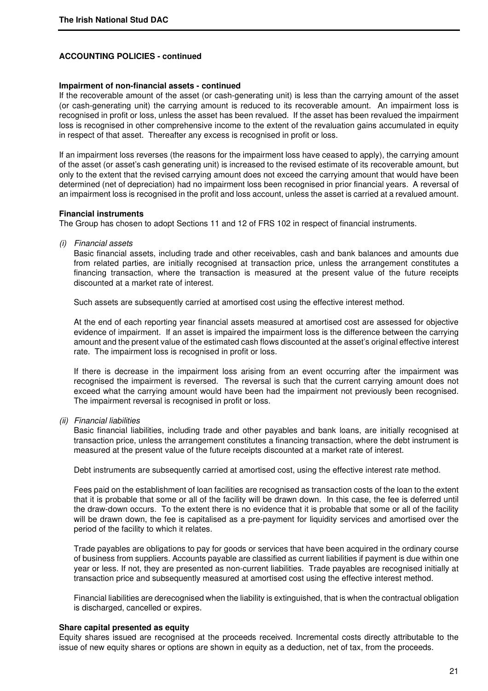#### **Impairment of non-financial assets - continued**

If the recoverable amount of the asset (or cash-generating unit) is less than the carrying amount of the asset (or cash-generating unit) the carrying amount is reduced to its recoverable amount. An impairment loss is recognised in profit or loss, unless the asset has been revalued. If the asset has been revalued the impairment loss is recognised in other comprehensive income to the extent of the revaluation gains accumulated in equity in respect of that asset. Thereafter any excess is recognised in profit or loss.

If an impairment loss reverses (the reasons for the impairment loss have ceased to apply), the carrying amount of the asset (or asset's cash generating unit) is increased to the revised estimate of its recoverable amount, but only to the extent that the revised carrying amount does not exceed the carrying amount that would have been determined (net of depreciation) had no impairment loss been recognised in prior financial years. A reversal of an impairment loss is recognised in the profit and loss account, unless the asset is carried at a revalued amount.

#### **Financial instruments**

The Group has chosen to adopt Sections 11 and 12 of FRS 102 in respect of financial instruments.

(i) Financial assets

 Basic financial assets, including trade and other receivables, cash and bank balances and amounts due from related parties, are initially recognised at transaction price, unless the arrangement constitutes a financing transaction, where the transaction is measured at the present value of the future receipts discounted at a market rate of interest.

Such assets are subsequently carried at amortised cost using the effective interest method.

 At the end of each reporting year financial assets measured at amortised cost are assessed for objective evidence of impairment. If an asset is impaired the impairment loss is the difference between the carrying amount and the present value of the estimated cash flows discounted at the asset's original effective interest rate. The impairment loss is recognised in profit or loss.

 If there is decrease in the impairment loss arising from an event occurring after the impairment was recognised the impairment is reversed. The reversal is such that the current carrying amount does not exceed what the carrying amount would have been had the impairment not previously been recognised. The impairment reversal is recognised in profit or loss.

(ii) Financial liabilities

 Basic financial liabilities, including trade and other payables and bank loans, are initially recognised at transaction price, unless the arrangement constitutes a financing transaction, where the debt instrument is measured at the present value of the future receipts discounted at a market rate of interest.

Debt instruments are subsequently carried at amortised cost, using the effective interest rate method.

 Fees paid on the establishment of loan facilities are recognised as transaction costs of the loan to the extent that it is probable that some or all of the facility will be drawn down. In this case, the fee is deferred until the draw-down occurs. To the extent there is no evidence that it is probable that some or all of the facility will be drawn down, the fee is capitalised as a pre-payment for liquidity services and amortised over the period of the facility to which it relates.

 Trade payables are obligations to pay for goods or services that have been acquired in the ordinary course of business from suppliers. Accounts payable are classified as current liabilities if payment is due within one year or less. If not, they are presented as non-current liabilities. Trade payables are recognised initially at transaction price and subsequently measured at amortised cost using the effective interest method.

 Financial liabilities are derecognised when the liability is extinguished, that is when the contractual obligation is discharged, cancelled or expires.

#### **Share capital presented as equity**

Equity shares issued are recognised at the proceeds received. Incremental costs directly attributable to the issue of new equity shares or options are shown in equity as a deduction, net of tax, from the proceeds.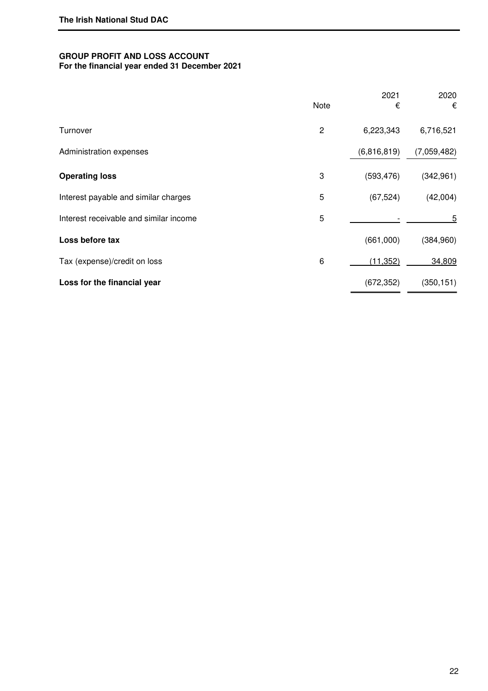# **GROUP PROFIT AND LOSS ACCOUNT For the financial year ended 31 December 2021**

|                                        | Note | 2021<br>€   | 2020<br>€   |
|----------------------------------------|------|-------------|-------------|
| Turnover                               | 2    | 6,223,343   | 6,716,521   |
| Administration expenses                |      | (6,816,819) | (7,059,482) |
| <b>Operating loss</b>                  | 3    | (593, 476)  | (342, 961)  |
| Interest payable and similar charges   | 5    | (67, 524)   | (42,004)    |
| Interest receivable and similar income | 5    |             | 5           |
| Loss before tax                        |      | (661,000)   | (384, 960)  |
| Tax (expense)/credit on loss           | 6    | (11, 352)   | 34,809      |
| Loss for the financial year            |      | (672, 352)  | (350, 151)  |
|                                        |      |             |             |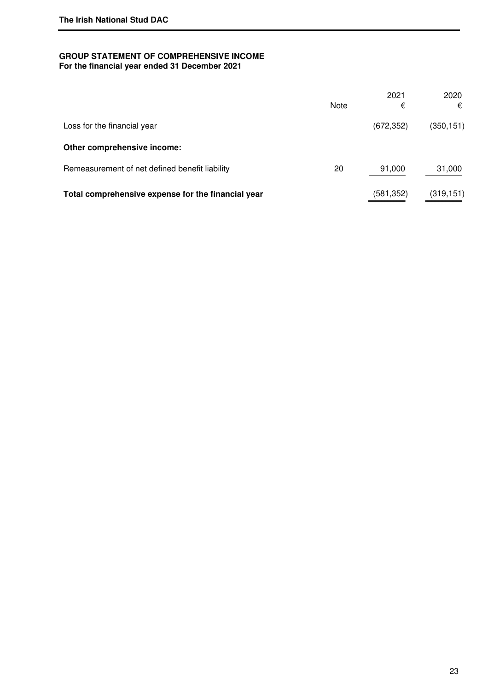# **GROUP STATEMENT OF COMPREHENSIVE INCOME For the financial year ended 31 December 2021**

|                                                    | Note | 2021<br>€  | 2020<br>€  |
|----------------------------------------------------|------|------------|------------|
|                                                    |      |            |            |
| Loss for the financial year                        |      | (672, 352) | (350, 151) |
| Other comprehensive income:                        |      |            |            |
| Remeasurement of net defined benefit liability     | 20   | 91,000     | 31,000     |
| Total comprehensive expense for the financial year |      | (581,352)  | (319, 151) |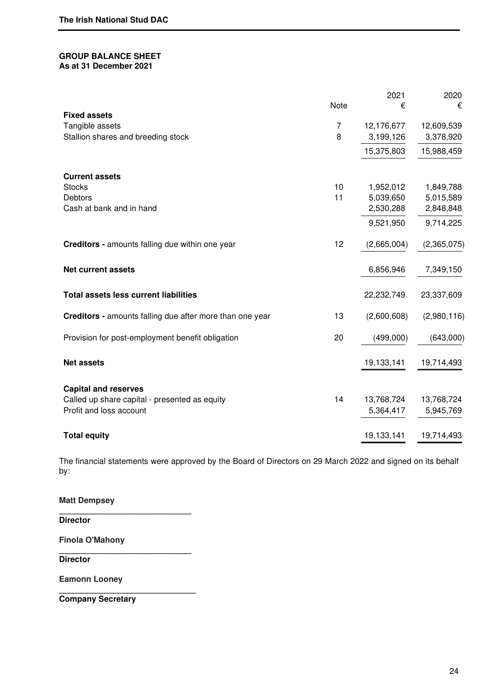### **GROUP BALANCE SHEET As at 31 December 2021**

|                                                                 |                     | 2021        | 2020        |
|-----------------------------------------------------------------|---------------------|-------------|-------------|
|                                                                 | <b>Note</b>         | €           | €           |
| <b>Fixed assets</b>                                             |                     |             |             |
| Tangible assets                                                 | $\overline{7}$<br>8 | 12,176,677  | 12,609,539  |
| Stallion shares and breeding stock                              |                     | 3,199,126   | 3,378,920   |
|                                                                 |                     | 15,375,803  | 15,988,459  |
| <b>Current assets</b>                                           |                     |             |             |
| <b>Stocks</b>                                                   | 10                  | 1,952,012   | 1,849,788   |
| <b>Debtors</b>                                                  | 11                  | 5,039,650   | 5,015,589   |
| Cash at bank and in hand                                        |                     | 2,530,288   | 2,848,848   |
|                                                                 |                     | 9,521,950   | 9,714,225   |
| <b>Creditors - amounts falling due within one year</b>          | 12                  | (2,665,004) | (2,365,075) |
| <b>Net current assets</b>                                       |                     | 6,856,946   | 7,349,150   |
| <b>Total assets less current liabilities</b>                    |                     | 22,232,749  | 23,337,609  |
| <b>Creditors - amounts falling due after more than one year</b> | 13                  | (2,600,608) | (2,980,116) |
| Provision for post-employment benefit obligation                | 20                  | (499,000)   | (643,000)   |
| <b>Net assets</b>                                               |                     | 19,133,141  | 19,714,493  |
| <b>Capital and reserves</b>                                     |                     |             |             |
| Called up share capital - presented as equity                   | 14                  | 13,768,724  | 13,768,724  |
| Profit and loss account                                         |                     | 5,364,417   | 5,945,769   |
| <b>Total equity</b>                                             |                     | 19,133,141  | 19,714,493  |

The financial statements were approved by the Board of Directors on 29 March 2022 and signed on its behalf by:

**Matt Dempsey \_\_\_\_\_\_\_\_\_\_\_\_\_\_\_\_\_\_\_\_\_\_\_\_\_\_\_\_\_ Director** 

**\_\_\_\_\_\_\_\_\_\_\_\_\_\_\_\_\_\_\_\_\_\_\_\_\_\_\_\_\_** 

**\_\_\_\_\_\_\_\_\_\_\_\_\_\_\_\_\_\_\_\_\_\_\_\_\_\_\_\_\_\_** 

**Finola O'Mahony**

**Director** 

**Eamonn Looney** 

**Company Secretary**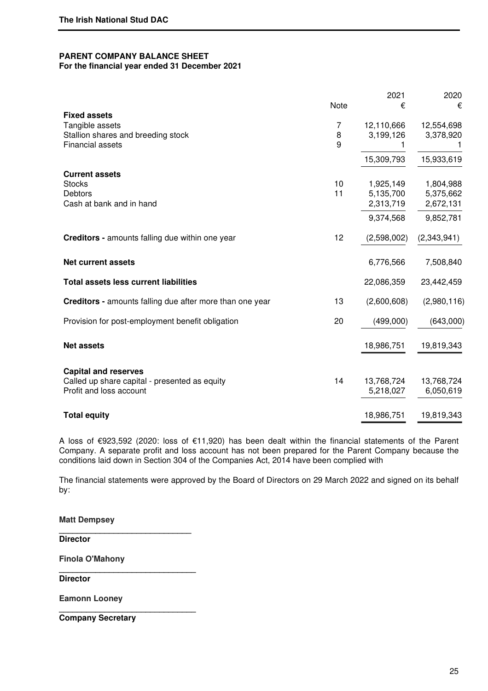#### **PARENT COMPANY BALANCE SHEET For the financial year ended 31 December 2021**

|                                                          |      | 2021        | 2020        |
|----------------------------------------------------------|------|-------------|-------------|
|                                                          | Note | €           | €           |
| <b>Fixed assets</b><br>Tangible assets                   | 7    | 12,110,666  | 12,554,698  |
| Stallion shares and breeding stock                       | 8    | 3,199,126   | 3,378,920   |
| <b>Financial assets</b>                                  | 9    | 1           |             |
|                                                          |      | 15,309,793  | 15,933,619  |
| <b>Current assets</b>                                    |      |             |             |
| <b>Stocks</b>                                            | 10   | 1,925,149   | 1,804,988   |
| <b>Debtors</b>                                           | 11   | 5,135,700   | 5,375,662   |
| Cash at bank and in hand                                 |      | 2,313,719   | 2,672,131   |
|                                                          |      | 9,374,568   | 9,852,781   |
| <b>Creditors - amounts falling due within one year</b>   | 12   | (2,598,002) | (2,343,941) |
| <b>Net current assets</b>                                |      | 6,776,566   | 7,508,840   |
| <b>Total assets less current liabilities</b>             |      | 22,086,359  | 23,442,459  |
| Creditors - amounts falling due after more than one year | 13   | (2,600,608) | (2,980,116) |
| Provision for post-employment benefit obligation         | 20   | (499,000)   | (643,000)   |
| <b>Net assets</b>                                        |      | 18,986,751  | 19,819,343  |
|                                                          |      |             |             |
| <b>Capital and reserves</b>                              |      |             |             |
| Called up share capital - presented as equity            | 14   | 13,768,724  | 13,768,724  |
| Profit and loss account                                  |      | 5,218,027   | 6,050,619   |
| <b>Total equity</b>                                      |      | 18,986,751  | 19,819,343  |

A loss of €923,592 (2020: loss of €11,920) has been dealt within the financial statements of the Parent Company. A separate profit and loss account has not been prepared for the Parent Company because the conditions laid down in Section 304 of the Companies Act, 2014 have been complied with

The financial statements were approved by the Board of Directors on 29 March 2022 and signed on its behalf by:

**Matt Dempsey** 

**Director** 

**Finola O'Mahony** 

**\_\_\_\_\_\_\_\_\_\_\_\_\_\_\_\_\_\_\_\_\_\_\_\_\_\_\_\_\_** 

**\_\_\_\_\_\_\_\_\_\_\_\_\_\_\_\_\_\_\_\_\_\_\_\_\_\_\_\_\_\_** 

**\_\_\_\_\_\_\_\_\_\_\_\_\_\_\_\_\_\_\_\_\_\_\_\_\_\_\_\_\_\_** 

**Director** 

**Eamonn Looney**

**Company Secretary**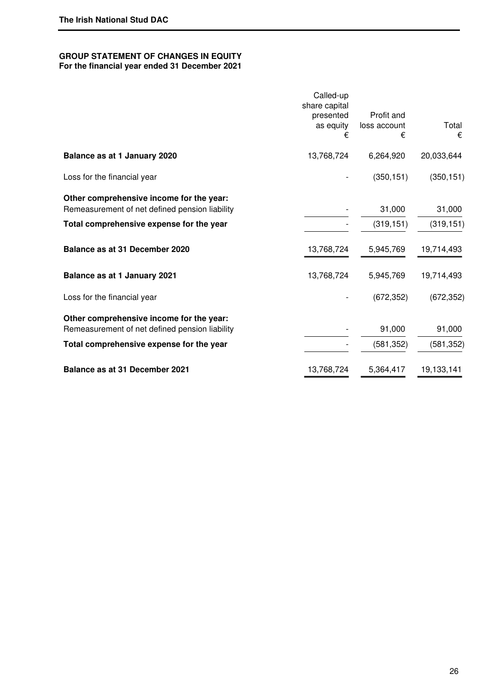#### **GROUP STATEMENT OF CHANGES IN EQUITY For the financial year ended 31 December 2021**

# Called-up share capital presented as equity € **Balance as at 1 January 2020** 13,768,724 6,264,920 20,033,644

Total comprehensive expense for the year  $(581,352)$   $(581,352)$ 

Loss for the financial year  $(350, 151)$   $(350, 151)$   $(350, 151)$ 

**Other comprehensive income for the year:** Remeasurement of net defined pension liability and the state of the 31,000 31,000

# Total comprehensive expense for the year **Figure 10** and  $(319,151)$  (319,151) (319,151)

| Balance as at 31 December 2020 |  |
|--------------------------------|--|

**Balance as at 1 January 2021** 13,768,724 5,945,769 19,714,493

Loss for the financial year  $(672,352)$   $(672,352)$ 

**Other comprehensive income for the year:** Remeasurement of net defined pension liability and the state of the state of 1,000 91,000

**Balance as at 31 December 2021** 13,768,724 5,364,417 19,133,141

 Profit and loss account

**Balance as at 31 December 2020** 13,768,724 5,945,769 19,714,493

€

 Total €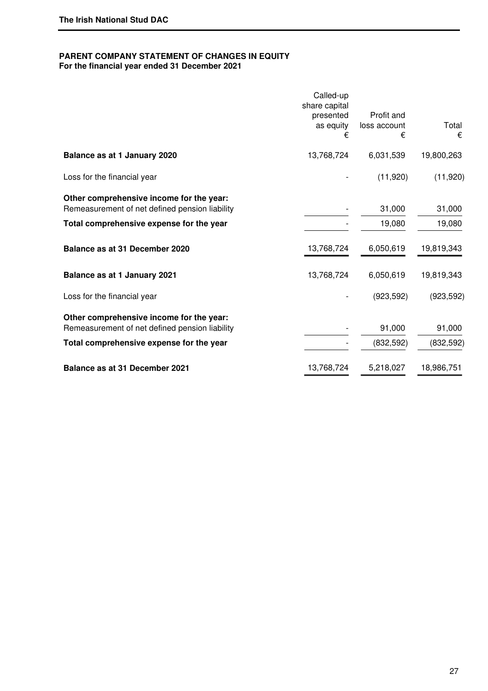# **PARENT COMPANY STATEMENT OF CHANGES IN EQUITY**

**For the financial year ended 31 December 2021** 

|                                                                                            | Called-up<br>share capital<br>presented<br>as equity<br>€ | Profit and<br>loss account<br>€ | Total<br>€ |
|--------------------------------------------------------------------------------------------|-----------------------------------------------------------|---------------------------------|------------|
| Balance as at 1 January 2020                                                               | 13,768,724                                                | 6,031,539                       | 19,800,263 |
| Loss for the financial year                                                                |                                                           | (11,920)                        | (11,920)   |
| Other comprehensive income for the year:<br>Remeasurement of net defined pension liability |                                                           | 31,000                          | 31,000     |
| Total comprehensive expense for the year                                                   |                                                           | 19,080                          | 19,080     |
| Balance as at 31 December 2020                                                             | 13,768,724                                                | 6,050,619                       | 19,819,343 |
| Balance as at 1 January 2021                                                               | 13,768,724                                                | 6,050,619                       | 19,819,343 |
| Loss for the financial year                                                                |                                                           | (923, 592)                      | (923, 592) |
| Other comprehensive income for the year:<br>Remeasurement of net defined pension liability |                                                           | 91,000                          | 91,000     |
| Total comprehensive expense for the year                                                   |                                                           | (832, 592)                      | (832, 592) |
| <b>Balance as at 31 December 2021</b>                                                      | 13,768,724                                                | 5,218,027                       | 18,986,751 |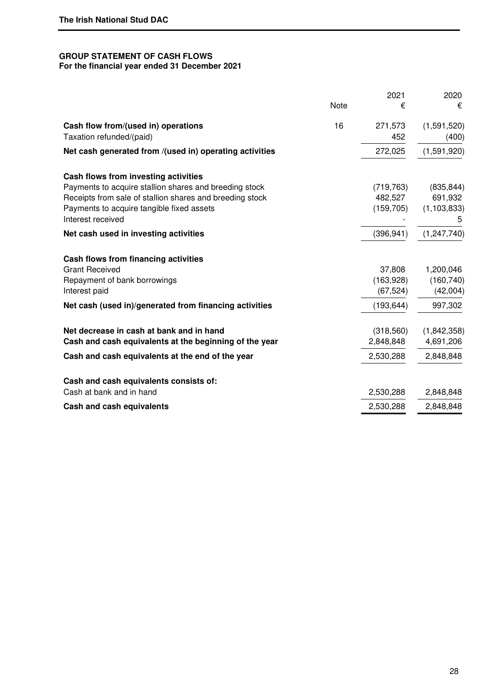# **GROUP STATEMENT OF CASH FLOWS For the financial year ended 31 December 2021**

|                                                                                                                                                                                      | Note | 2021<br>€                           | 2020<br>€                              |
|--------------------------------------------------------------------------------------------------------------------------------------------------------------------------------------|------|-------------------------------------|----------------------------------------|
| Cash flow from/(used in) operations<br>Taxation refunded/(paid)                                                                                                                      | 16   | 271,573<br>452                      | (1,591,520)<br>(400)                   |
| Net cash generated from /(used in) operating activities                                                                                                                              |      | 272,025                             | (1,591,920)                            |
| Cash flows from investing activities                                                                                                                                                 |      |                                     |                                        |
| Payments to acquire stallion shares and breeding stock<br>Receipts from sale of stallion shares and breeding stock<br>Payments to acquire tangible fixed assets<br>Interest received |      | (719, 763)<br>482,527<br>(159, 705) | (835, 844)<br>691,932<br>(1, 103, 833) |
| Net cash used in investing activities                                                                                                                                                |      | (396, 941)                          | (1, 247, 740)                          |
| Cash flows from financing activities<br><b>Grant Received</b><br>Repayment of bank borrowings<br>Interest paid                                                                       |      | 37,808<br>(163,928)<br>(67, 524)    | 1,200,046<br>(160, 740)<br>(42,004)    |
| Net cash (used in)/generated from financing activities                                                                                                                               |      | (193, 644)                          | 997,302                                |
| Net decrease in cash at bank and in hand<br>Cash and cash equivalents at the beginning of the year                                                                                   |      | (318, 560)<br>2,848,848             | (1,842,358)<br>4,691,206               |
| Cash and cash equivalents at the end of the year                                                                                                                                     |      | 2,530,288                           | 2,848,848                              |
| Cash and cash equivalents consists of:<br>Cash at bank and in hand                                                                                                                   |      | 2,530,288                           | 2,848,848                              |
| Cash and cash equivalents                                                                                                                                                            |      | 2,530,288                           | 2,848,848                              |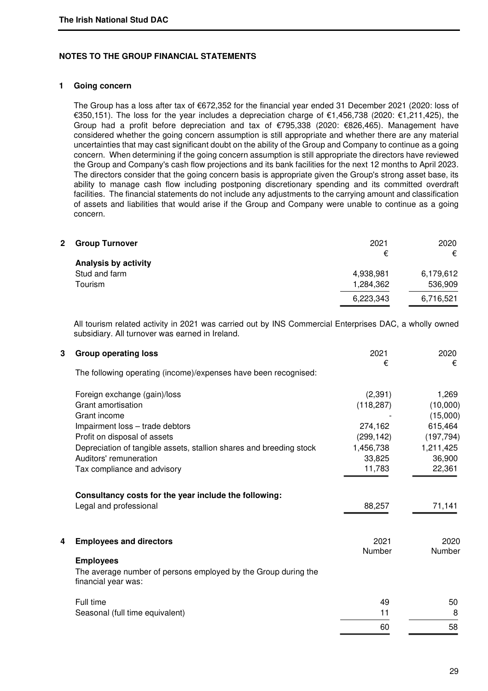## **NOTES TO THE GROUP FINANCIAL STATEMENTS**

## **1 Going concern**

The Group has a loss after tax of €672,352 for the financial year ended 31 December 2021 (2020: loss of €350,151). The loss for the year includes a depreciation charge of €1,456,738 (2020: €1,211,425), the Group had a profit before depreciation and tax of €795,338 (2020: €826,465). Management have considered whether the going concern assumption is still appropriate and whether there are any material uncertainties that may cast significant doubt on the ability of the Group and Company to continue as a going concern. When determining if the going concern assumption is still appropriate the directors have reviewed the Group and Company's cash flow projections and its bank facilities for the next 12 months to April 2023. The directors consider that the going concern basis is appropriate given the Group's strong asset base, its ability to manage cash flow including postponing discretionary spending and its committed overdraft facilities. The financial statements do not include any adjustments to the carrying amount and classification of assets and liabilities that would arise if the Group and Company were unable to continue as a going concern.

| 2 | <b>Group Turnover</b> | 2021      | 2020      |
|---|-----------------------|-----------|-----------|
|   | Analysis by activity  | €         | €         |
|   | Stud and farm         | 4,938,981 | 6,179,612 |
|   | Tourism               | 1,284,362 | 536,909   |
|   |                       | 6,223,343 | 6,716,521 |
|   |                       |           |           |

 All tourism related activity in 2021 was carried out by INS Commercial Enterprises DAC, a wholly owned subsidiary. All turnover was earned in Ireland.

| 3 | <b>Group operating loss</b>                                                           | 2021<br>€  | 2020<br>€  |
|---|---------------------------------------------------------------------------------------|------------|------------|
|   | The following operating (income)/expenses have been recognised:                       |            |            |
|   | Foreign exchange (gain)/loss                                                          | (2, 391)   | 1,269      |
|   | Grant amortisation                                                                    | (118, 287) | (10,000)   |
|   | Grant income                                                                          |            | (15,000)   |
|   | Impairment loss - trade debtors                                                       | 274,162    | 615,464    |
|   | Profit on disposal of assets                                                          | (299, 142) | (197, 794) |
|   | Depreciation of tangible assets, stallion shares and breeding stock                   | 1,456,738  | 1,211,425  |
|   | Auditors' remuneration                                                                | 33,825     | 36,900     |
|   | Tax compliance and advisory                                                           | 11,783     | 22,361     |
|   | Consultancy costs for the year include the following:                                 |            |            |
|   | Legal and professional                                                                | 88,257     | 71,141     |
| 4 | <b>Employees and directors</b>                                                        | 2021       | 2020       |
|   |                                                                                       | Number     | Number     |
|   | <b>Employees</b>                                                                      |            |            |
|   | The average number of persons employed by the Group during the<br>financial year was: |            |            |
|   | Full time                                                                             | 49         | 50         |
|   | Seasonal (full time equivalent)                                                       | 11         | 8          |
|   |                                                                                       | 60         | 58         |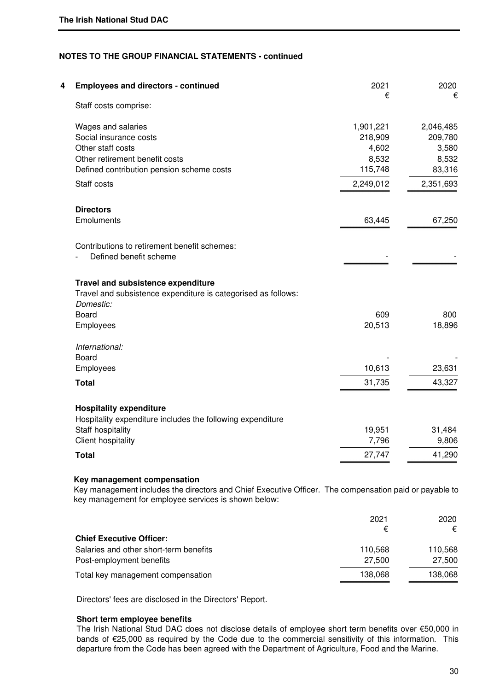| <b>Employees and directors - continued</b>                    | 2021      | 2020      |
|---------------------------------------------------------------|-----------|-----------|
| Staff costs comprise:                                         | €         | €         |
| Wages and salaries                                            | 1,901,221 | 2,046,485 |
| Social insurance costs                                        | 218,909   | 209,780   |
| Other staff costs                                             | 4,602     | 3,580     |
| Other retirement benefit costs                                | 8,532     | 8,532     |
| Defined contribution pension scheme costs                     | 115,748   | 83,316    |
| Staff costs                                                   | 2,249,012 | 2,351,693 |
| <b>Directors</b>                                              |           |           |
| Emoluments                                                    | 63,445    | 67,250    |
| Contributions to retirement benefit schemes:                  |           |           |
| Defined benefit scheme                                        |           |           |
| Travel and subsistence expenditure                            |           |           |
| Travel and subsistence expenditure is categorised as follows: |           |           |
| Domestic:                                                     |           |           |
| Board                                                         | 609       | 800       |
| Employees                                                     | 20,513    | 18,896    |
| International:                                                |           |           |
| Board                                                         |           |           |
| Employees                                                     | 10,613    | 23,631    |
| <b>Total</b>                                                  | 31,735    | 43,327    |
| <b>Hospitality expenditure</b>                                |           |           |
| Hospitality expenditure includes the following expenditure    |           |           |
| Staff hospitality                                             | 19,951    | 31,484    |
| <b>Client hospitality</b>                                     | 7,796     | 9,806     |
| <b>Total</b>                                                  | 27,747    | 41,290    |

Key management includes the directors and Chief Executive Officer. The compensation paid or payable to key management for employee services is shown below:

|                                        | 2021    | 2020    |
|----------------------------------------|---------|---------|
|                                        | €       | €       |
| <b>Chief Executive Officer:</b>        |         |         |
| Salaries and other short-term benefits | 110.568 | 110.568 |
| Post-employment benefits               | 27,500  | 27,500  |
| Total key management compensation      | 138,068 | 138,068 |

Directors' fees are disclosed in the Directors' Report.

# **Short term employee benefits**

The Irish National Stud DAC does not disclose details of employee short term benefits over €50,000 in bands of €25,000 as required by the Code due to the commercial sensitivity of this information. This departure from the Code has been agreed with the Department of Agriculture, Food and the Marine.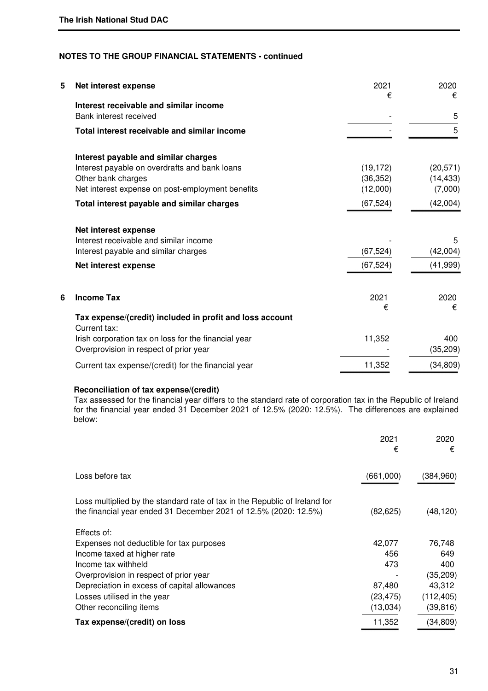| 5 | Net interest expense                                                     | 2021<br>€ | 2020<br>€ |
|---|--------------------------------------------------------------------------|-----------|-----------|
|   | Interest receivable and similar income                                   |           |           |
|   | Bank interest received                                                   |           | 5         |
|   | Total interest receivable and similar income                             |           | 5         |
|   | Interest payable and similar charges                                     |           |           |
|   | Interest payable on overdrafts and bank loans                            | (19, 172) | (20, 571) |
|   | Other bank charges                                                       | (36, 352) | (14, 433) |
|   | Net interest expense on post-employment benefits                         | (12,000)  | (7,000)   |
|   | Total interest payable and similar charges                               | (67, 524) | (42,004)  |
|   | Net interest expense                                                     |           |           |
|   | Interest receivable and similar income                                   |           | 5         |
|   | Interest payable and similar charges                                     | (67, 524) | (42,004)  |
|   | Net interest expense                                                     | (67, 524) | (41, 999) |
| 6 | <b>Income Tax</b>                                                        | 2021      | 2020      |
|   |                                                                          | €         | €         |
|   | Tax expense/(credit) included in profit and loss account<br>Current tax: |           |           |
|   | Irish corporation tax on loss for the financial year                     | 11,352    | 400       |
|   | Overprovision in respect of prior year                                   |           | (35, 209) |
|   | Current tax expense/(credit) for the financial year                      | 11,352    | (34, 809) |

# **Reconciliation of tax expense/(credit)**

 Tax assessed for the financial year differs to the standard rate of corporation tax in the Republic of Ireland for the financial year ended 31 December 2021 of 12.5% (2020: 12.5%). The differences are explained below:

|                                                                                                                                                | 2021<br>€ | 2020<br>€  |
|------------------------------------------------------------------------------------------------------------------------------------------------|-----------|------------|
| Loss before tax                                                                                                                                | (661,000) | (384,960)  |
| Loss multiplied by the standard rate of tax in the Republic of Ireland for<br>the financial year ended 31 December 2021 of 12.5% (2020: 12.5%) | (82, 625) | (48, 120)  |
| Effects of:                                                                                                                                    |           |            |
| Expenses not deductible for tax purposes                                                                                                       | 42,077    | 76,748     |
| Income taxed at higher rate                                                                                                                    | 456       | 649        |
| Income tax withheld                                                                                                                            | 473       | 400        |
| Overprovision in respect of prior year                                                                                                         |           | (35, 209)  |
| Depreciation in excess of capital allowances                                                                                                   | 87,480    | 43.312     |
| Losses utilised in the year                                                                                                                    | (23,475)  | (112, 405) |
| Other reconciling items                                                                                                                        | (13,034)  | (39, 816)  |
| Tax expense/(credit) on loss                                                                                                                   | 11,352    | (34, 809)  |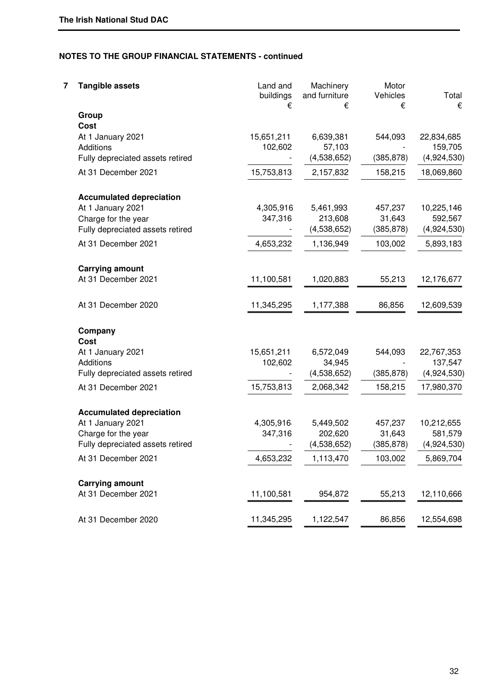| 7 | <b>Tangible assets</b>           | Land and<br>buildings<br>€ | Machinery<br>and furniture<br>€ | Motor<br>Vehicles<br>€ | Total<br>€            |
|---|----------------------------------|----------------------------|---------------------------------|------------------------|-----------------------|
|   | Group<br>Cost                    |                            |                                 |                        |                       |
|   | At 1 January 2021<br>Additions   | 15,651,211<br>102,602      | 6,639,381<br>57,103             | 544,093                | 22,834,685<br>159,705 |
|   | Fully depreciated assets retired |                            | (4,538,652)                     | (385, 878)             | (4,924,530)           |
|   | At 31 December 2021              | 15,753,813                 | 2,157,832                       | 158,215                | 18,069,860            |
|   | <b>Accumulated depreciation</b>  |                            |                                 |                        |                       |
|   | At 1 January 2021                | 4,305,916                  | 5,461,993                       | 457,237                | 10,225,146            |
|   | Charge for the year              | 347,316                    | 213,608                         | 31,643                 | 592,567               |
|   | Fully depreciated assets retired |                            | (4,538,652)                     | (385, 878)             | (4,924,530)           |
|   | At 31 December 2021              | 4,653,232                  | 1,136,949                       | 103,002                | 5,893,183             |
|   | <b>Carrying amount</b>           |                            |                                 |                        |                       |
|   | At 31 December 2021              | 11,100,581                 | 1,020,883                       | 55,213                 | 12,176,677            |
|   | At 31 December 2020              | 11,345,295                 | 1,177,388                       | 86,856                 | 12,609,539            |
|   | Company                          |                            |                                 |                        |                       |
|   | Cost                             |                            |                                 |                        |                       |
|   | At 1 January 2021                | 15,651,211                 | 6,572,049                       | 544,093                | 22,767,353            |
|   | Additions                        | 102,602                    | 34,945                          |                        | 137,547               |
|   | Fully depreciated assets retired |                            | (4,538,652)                     | (385, 878)             | (4,924,530)           |
|   | At 31 December 2021              | 15,753,813                 | 2,068,342                       | 158,215                | 17,980,370            |
|   | <b>Accumulated depreciation</b>  |                            |                                 |                        |                       |
|   | At 1 January 2021                | 4,305,916                  | 5,449,502                       | 457,237                | 10,212,655            |
|   | Charge for the year              | 347,316                    | 202,620                         | 31,643                 | 581,579               |
|   | Fully depreciated assets retired |                            | (4,538,652)                     | (385, 878)             | (4,924,530)           |
|   | At 31 December 2021              | 4,653,232                  | 1,113,470                       | 103,002                | 5,869,704             |
|   | <b>Carrying amount</b>           |                            |                                 |                        |                       |
|   | At 31 December 2021              | 11,100,581                 | 954,872                         | 55,213                 | 12,110,666            |
|   | At 31 December 2020              | 11,345,295                 | 1,122,547                       | 86,856                 | 12,554,698            |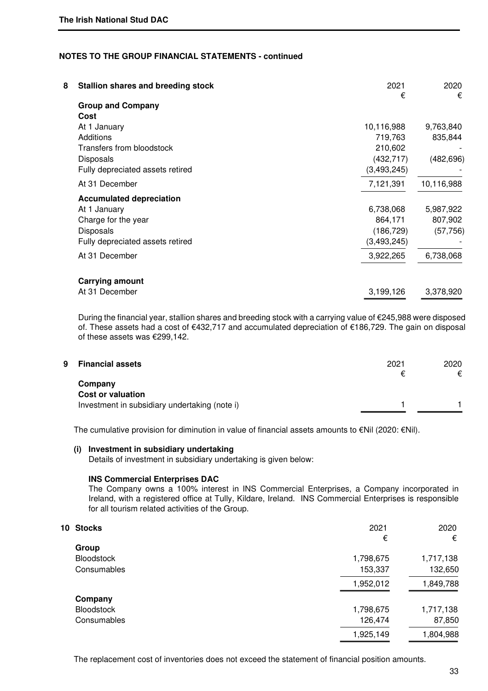| 8 | <b>Stallion shares and breeding stock</b> | 2021<br>€     | 2020<br>€  |
|---|-------------------------------------------|---------------|------------|
|   | <b>Group and Company</b>                  |               |            |
|   | Cost                                      |               |            |
|   | At 1 January                              | 10,116,988    | 9,763,840  |
|   | Additions                                 | 719,763       | 835,844    |
|   | Transfers from bloodstock                 | 210,602       |            |
|   | <b>Disposals</b>                          | (432, 717)    | (482, 696) |
|   | Fully depreciated assets retired          | (3, 493, 245) |            |
|   | At 31 December                            | 7,121,391     | 10,116,988 |
|   | <b>Accumulated depreciation</b>           |               |            |
|   | At 1 January                              | 6,738,068     | 5,987,922  |
|   | Charge for the year                       | 864,171       | 807,902    |
|   | <b>Disposals</b>                          | (186, 729)    | (57, 756)  |
|   | Fully depreciated assets retired          | (3,493,245)   |            |
|   | At 31 December                            | 3,922,265     | 6,738,068  |
|   | <b>Carrying amount</b>                    |               |            |
|   | At 31 December                            | 3,199,126     | 3,378,920  |

 During the financial year, stallion shares and breeding stock with a carrying value of €245,988 were disposed of. These assets had a cost of €432,717 and accumulated depreciation of €186,729. The gain on disposal of these assets was €299,142.

| 9 | <b>Financial assets</b>                       | 2021 | 2020<br>€ |
|---|-----------------------------------------------|------|-----------|
|   | Company<br><b>Cost or valuation</b>           |      |           |
|   | Investment in subsidiary undertaking (note i) |      |           |

The cumulative provision for diminution in value of financial assets amounts to €Nil (2020: €Nil).

# **(i) Investment in subsidiary undertaking**

Details of investment in subsidiary undertaking is given below:

#### **INS Commercial Enterprises DAC**

The Company owns a 100% interest in INS Commercial Enterprises, a Company incorporated in Ireland, with a registered office at Tully, Kildare, Ireland. INS Commercial Enterprises is responsible for all tourism related activities of the Group.

| 10 Stocks         | 2021      | 2020      |
|-------------------|-----------|-----------|
|                   | €         | €         |
| Group             |           |           |
| <b>Bloodstock</b> | 1,798,675 | 1,717,138 |
| Consumables       | 153,337   | 132,650   |
|                   | 1,952,012 | 1,849,788 |
| Company           |           |           |
| <b>Bloodstock</b> | 1,798,675 | 1,717,138 |
| Consumables       | 126,474   | 87,850    |
|                   | 1,925,149 | 1,804,988 |

The replacement cost of inventories does not exceed the statement of financial position amounts.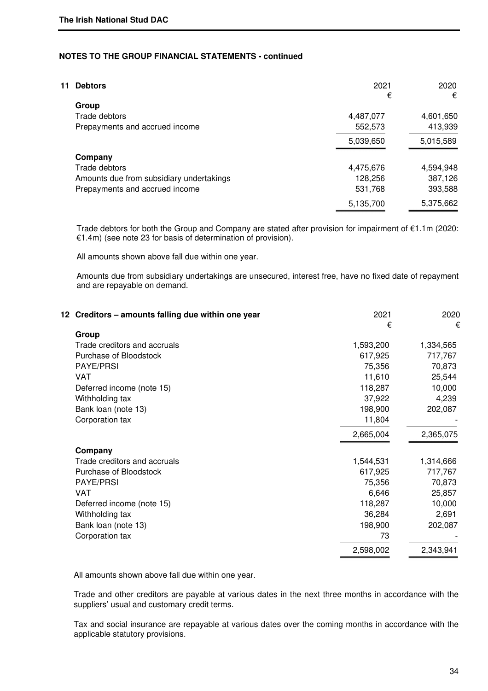| 11 | <b>Debtors</b>                           | 2021      | 2020      |
|----|------------------------------------------|-----------|-----------|
|    | Group                                    | €         | €         |
|    | Trade debtors                            | 4,487,077 | 4,601,650 |
|    | Prepayments and accrued income           | 552,573   | 413,939   |
|    |                                          | 5,039,650 | 5,015,589 |
|    | Company                                  |           |           |
|    | Trade debtors                            | 4,475,676 | 4,594,948 |
|    | Amounts due from subsidiary undertakings | 128,256   | 387,126   |
|    | Prepayments and accrued income           | 531,768   | 393,588   |
|    |                                          | 5,135,700 | 5,375,662 |

Trade debtors for both the Group and Company are stated after provision for impairment of €1.1m (2020: €1.4m) (see note 23 for basis of determination of provision).

All amounts shown above fall due within one year.

Amounts due from subsidiary undertakings are unsecured, interest free, have no fixed date of repayment and are repayable on demand.

| 12 Creditors - amounts falling due within one year | 2021<br>€ | 2020<br>€ |
|----------------------------------------------------|-----------|-----------|
| Group                                              |           |           |
| Trade creditors and accruals                       | 1,593,200 | 1,334,565 |
| Purchase of Bloodstock                             | 617,925   | 717,767   |
| PAYE/PRSI                                          | 75,356    | 70,873    |
| <b>VAT</b>                                         | 11,610    | 25,544    |
| Deferred income (note 15)                          | 118,287   | 10,000    |
| Withholding tax                                    | 37,922    | 4,239     |
| Bank loan (note 13)                                | 198,900   | 202,087   |
| Corporation tax                                    | 11,804    |           |
|                                                    | 2,665,004 | 2,365,075 |
| Company                                            |           |           |
| Trade creditors and accruals                       | 1,544,531 | 1,314,666 |
| Purchase of Bloodstock                             | 617,925   | 717,767   |
| PAYE/PRSI                                          | 75,356    | 70,873    |
| VAT                                                | 6,646     | 25,857    |
| Deferred income (note 15)                          | 118,287   | 10,000    |
| Withholding tax                                    | 36,284    | 2,691     |
| Bank loan (note 13)                                | 198,900   | 202,087   |
| Corporation tax                                    | 73        |           |
|                                                    | 2,598,002 | 2,343,941 |

All amounts shown above fall due within one year.

Trade and other creditors are payable at various dates in the next three months in accordance with the suppliers' usual and customary credit terms.

 Tax and social insurance are repayable at various dates over the coming months in accordance with the applicable statutory provisions.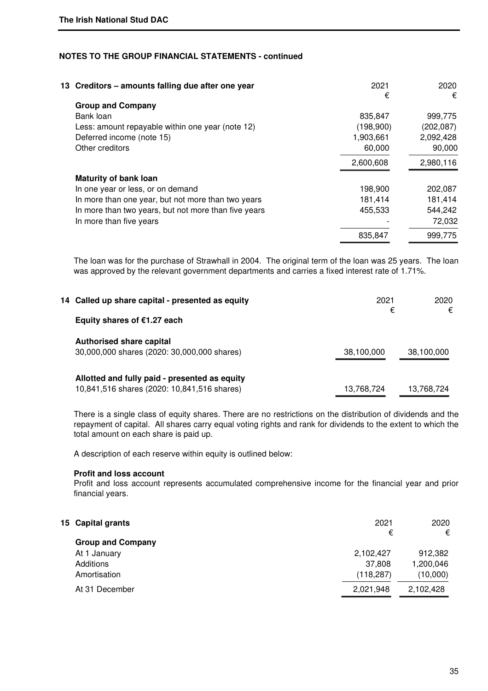| 13 Creditors – amounts falling due after one year    | 2021      | 2020       |
|------------------------------------------------------|-----------|------------|
| <b>Group and Company</b>                             | €         | €          |
| Bank loan                                            | 835,847   | 999,775    |
| Less: amount repayable within one year (note 12)     | (198,900) | (202, 087) |
| Deferred income (note 15)                            | 1,903,661 | 2,092,428  |
| Other creditors                                      | 60,000    | 90,000     |
|                                                      | 2,600,608 | 2,980,116  |
| <b>Maturity of bank loan</b>                         |           |            |
| In one year or less, or on demand                    | 198,900   | 202,087    |
| In more than one year, but not more than two years   | 181,414   | 181,414    |
| In more than two years, but not more than five years | 455,533   | 544,242    |
| In more than five years                              |           | 72,032     |
|                                                      | 835,847   | 999,775    |
|                                                      |           |            |

 The loan was for the purchase of Strawhall in 2004. The original term of the loan was 25 years. The loan was approved by the relevant government departments and carries a fixed interest rate of 1.71%.

| 14 Called up share capital - presented as equity                                             | 2021       | 2020       |
|----------------------------------------------------------------------------------------------|------------|------------|
| Equity shares of €1.27 each                                                                  | €          | €          |
| <b>Authorised share capital</b><br>30,000,000 shares (2020: 30,000,000 shares)               | 38,100,000 | 38,100,000 |
| Allotted and fully paid - presented as equity<br>10,841,516 shares (2020: 10,841,516 shares) | 13,768,724 | 13.768.724 |

 There is a single class of equity shares. There are no restrictions on the distribution of dividends and the repayment of capital. All shares carry equal voting rights and rank for dividends to the extent to which the total amount on each share is paid up.

A description of each reserve within equity is outlined below:

### **Profit and loss account**

 Profit and loss account represents accumulated comprehensive income for the financial year and prior financial years.

| 15 Capital grants        | 2021<br>€  | 2020<br>€ |
|--------------------------|------------|-----------|
| <b>Group and Company</b> |            |           |
| At 1 January             | 2,102,427  | 912,382   |
| Additions                | 37,808     | 1,200,046 |
| Amortisation             | (118, 287) | (10,000)  |
| At 31 December           | 2,021,948  | 2,102,428 |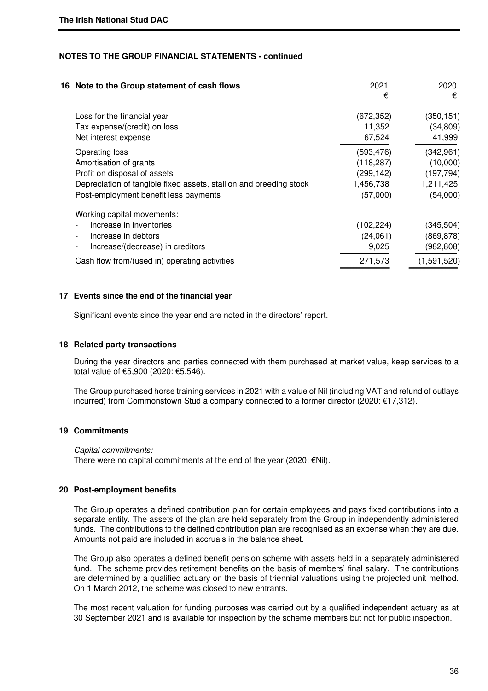| 16 Note to the Group statement of cash flows                       | 2021<br>€  | 2020<br>€   |
|--------------------------------------------------------------------|------------|-------------|
| Loss for the financial year                                        | (672, 352) | (350, 151)  |
| Tax expense/(credit) on loss                                       | 11,352     | (34, 809)   |
| Net interest expense                                               | 67,524     | 41,999      |
| Operating loss                                                     | (593, 476) | (342, 961)  |
| Amortisation of grants                                             | (118, 287) | (10,000)    |
| Profit on disposal of assets                                       | (299,142)  | (197, 794)  |
| Depreciation of tangible fixed assets, stallion and breeding stock | 1,456,738  | 1,211,425   |
| Post-employment benefit less payments                              | (57,000)   | (54,000)    |
| Working capital movements:                                         |            |             |
| Increase in inventories                                            | (102, 224) | (345, 504)  |
| Increase in debtors                                                | (24,061)   | (869, 878)  |
| Increase/(decrease) in creditors                                   | 9,025      | (982, 808)  |
| Cash flow from/(used in) operating activities                      | 271,573    | (1,591,520) |
|                                                                    |            |             |

#### **17 Events since the end of the financial year**

Significant events since the year end are noted in the directors' report.

#### **18 Related party transactions**

During the year directors and parties connected with them purchased at market value, keep services to a total value of €5,900 (2020: €5,546).

The Group purchased horse training services in 2021 with a value of Nil (including VAT and refund of outlays incurred) from Commonstown Stud a company connected to a former director (2020: €17,312).

#### **19 Commitments**

 Capital commitments: There were no capital commitments at the end of the year (2020:  $\epsilon$ Nil).

#### **20 Post-employment benefits**

The Group operates a defined contribution plan for certain employees and pays fixed contributions into a separate entity. The assets of the plan are held separately from the Group in independently administered funds. The contributions to the defined contribution plan are recognised as an expense when they are due. Amounts not paid are included in accruals in the balance sheet.

The Group also operates a defined benefit pension scheme with assets held in a separately administered fund. The scheme provides retirement benefits on the basis of members' final salary. The contributions are determined by a qualified actuary on the basis of triennial valuations using the projected unit method. On 1 March 2012, the scheme was closed to new entrants.

The most recent valuation for funding purposes was carried out by a qualified independent actuary as at 30 September 2021 and is available for inspection by the scheme members but not for public inspection.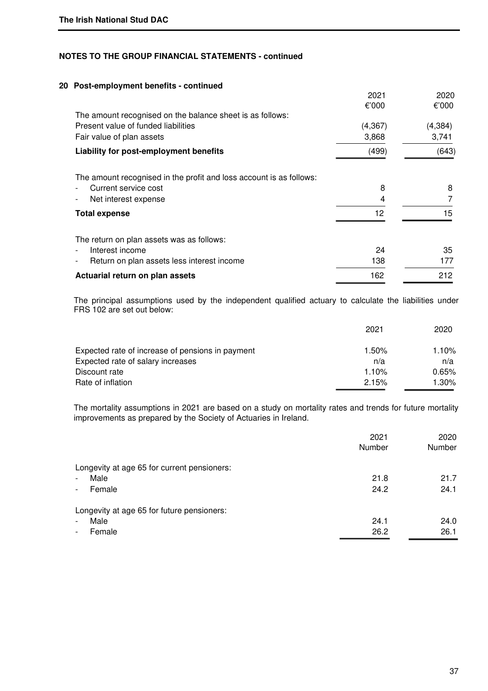# **20 Post-employment benefits - continued**

|                                                                        | 2021     | 2020     |
|------------------------------------------------------------------------|----------|----------|
|                                                                        | €'000    | €'000    |
| The amount recognised on the balance sheet is as follows:              |          |          |
| Present value of funded liabilities                                    | (4, 367) | (4, 384) |
| Fair value of plan assets                                              | 3,868    | 3,741    |
| Liability for post-employment benefits                                 | (499)    | (643)    |
| The amount recognised in the profit and loss account is as follows:    |          |          |
| Current service cost                                                   | 8        | 8        |
| Net interest expense                                                   | 4        |          |
| <b>Total expense</b>                                                   | 12       | 15       |
| The return on plan assets was as follows:                              |          |          |
| Interest income                                                        | 24       | 35       |
| Return on plan assets less interest income<br>$\overline{\phantom{0}}$ | 138      | 177      |
| Actuarial return on plan assets                                        | 162      | 212      |

The principal assumptions used by the independent qualified actuary to calculate the liabilities under FRS 102 are set out below:

|                                                  | 2021  | 2020  |
|--------------------------------------------------|-------|-------|
| Expected rate of increase of pensions in payment | 1.50% | 1.10% |
| Expected rate of salary increases                | n/a   | n/a   |
| Discount rate                                    | 1.10% | 0.65% |
| Rate of inflation                                | 2.15% | 1.30% |

 The mortality assumptions in 2021 are based on a study on mortality rates and trends for future mortality improvements as prepared by the Society of Actuaries in Ireland.

|                                             | 2021<br>Number | 2020<br>Number |
|---------------------------------------------|----------------|----------------|
| Longevity at age 65 for current pensioners: |                |                |
| Male                                        | 21.8           | 21.7           |
| Female<br>$\overline{\phantom{0}}$          | 24.2           | 24.1           |
| Longevity at age 65 for future pensioners:  |                |                |
| Male<br>$\overline{\phantom{0}}$            | 24.1           | 24.0           |
| Female<br>$\overline{\phantom{a}}$          | 26.2           | 26.1           |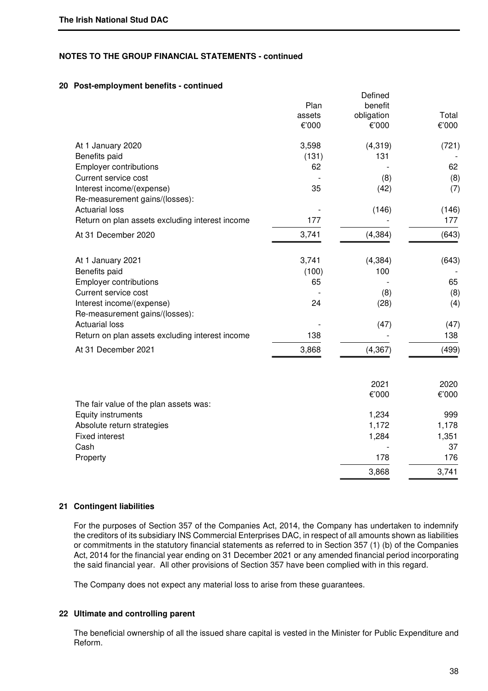# **20 Post-employment benefits - continued**

|                                                             | Plan            | Defined<br>benefit  |                |
|-------------------------------------------------------------|-----------------|---------------------|----------------|
|                                                             | assets<br>€'000 | obligation<br>€'000 | Total<br>€'000 |
| At 1 January 2020                                           | 3,598           | (4, 319)            | (721)          |
| Benefits paid                                               | (131)           | 131                 |                |
| Employer contributions                                      | 62              |                     | 62             |
| Current service cost                                        |                 | (8)                 | (8)            |
| Interest income/(expense)<br>Re-measurement gains/(losses): | 35              | (42)                | (7)            |
| <b>Actuarial loss</b>                                       |                 | (146)               | (146)          |
| Return on plan assets excluding interest income             | 177             |                     | 177            |
| At 31 December 2020                                         | 3,741           | (4, 384)            | (643)          |
| At 1 January 2021                                           | 3,741           | (4, 384)            | (643)          |
| Benefits paid                                               | (100)           | 100                 |                |
| <b>Employer contributions</b>                               | 65              |                     | 65             |
| Current service cost                                        |                 | (8)                 | (8)            |
| Interest income/(expense)                                   | 24              | (28)                | (4)            |
| Re-measurement gains/(losses):                              |                 |                     |                |
| <b>Actuarial loss</b>                                       |                 | (47)                | (47)           |
| Return on plan assets excluding interest income             | 138             |                     | 138            |
| At 31 December 2021                                         | 3,868           | (4, 367)            | (499)          |
|                                                             |                 |                     |                |
|                                                             |                 | 2021<br>€'000       | 2020<br>€'000  |
| The fair value of the plan assets was:                      |                 |                     |                |
| Equity instruments                                          |                 | 1,234               | 999            |
| Absolute return strategies                                  |                 | 1,172               | 1,178          |
| <b>Fixed interest</b>                                       |                 | 1,284               | 1,351          |
| Cash                                                        |                 |                     | 37             |
| Property                                                    |                 | 178                 | 176            |
|                                                             |                 | 3,868               | 3,741          |

#### **21 Contingent liabilities**

For the purposes of Section 357 of the Companies Act, 2014, the Company has undertaken to indemnify the creditors of its subsidiary INS Commercial Enterprises DAC, in respect of all amounts shown as liabilities or commitments in the statutory financial statements as referred to in Section 357 (1) (b) of the Companies Act, 2014 for the financial year ending on 31 December 2021 or any amended financial period incorporating the said financial year. All other provisions of Section 357 have been complied with in this regard.

The Company does not expect any material loss to arise from these guarantees.

#### **22 Ultimate and controlling parent**

The beneficial ownership of all the issued share capital is vested in the Minister for Public Expenditure and Reform.